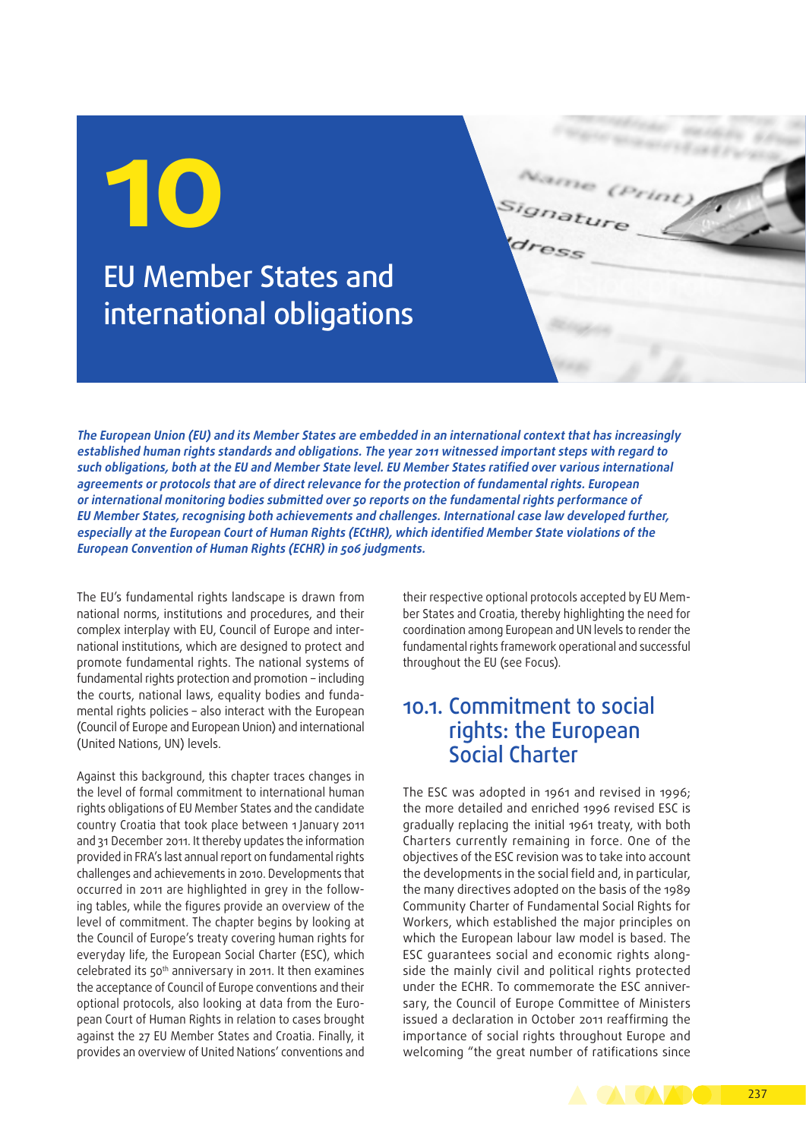# EU Member States and international obligations

**The European Union (EU) and its Member States are embedded in an international context that has increasingly established human rights standards and obligations. The year 2011 witnessed important steps with regard to such obligations, both at the EU and Member State level. EU Member States ratified over various international agreements or protocols that are of direct relevance for the protection of fundamental rights. European or international monitoring bodies submitted over 50 reports on the fundamental rights performance of EU Member States, recognising both achievements and challenges. International case law developed further, especially at the European Court of Human Rights (ECtHR), which identified Member State violations of the European Convention of Human Rights (ECHR) in 506 judgments.**

The EU's fundamental rights landscape is drawn from national norms, institutions and procedures, and their complex interplay with EU, Council of Europe and international institutions, which are designed to protect and promote fundamental rights. The national systems of fundamental rights protection and promotion – including the courts, national laws, equality bodies and fundamental rights policies – also interact with the European (Council of Europe and European Union) and international (United Nations, UN) levels.

Against this background, this chapter traces changes in the level of formal commitment to international human rights obligations of EU Member States and the candidate country Croatia that took place between 1 January 2011 and 31 December 2011. It thereby updates the information provided in FRA's last annual report on fundamental rights challenges and achievements in 2010. Developments that occurred in 2011 are highlighted in grey in the following tables, while the figures provide an overview of the level of commitment. The chapter begins by looking at the Council of Europe's treaty covering human rights for everyday life, the European Social Charter (ESC), which celebrated its 50th anniversary in 2011. It then examines the acceptance of Council of Europe conventions and their optional protocols, also looking at data from the European Court of Human Rights in relation to cases brought against the 27 EU Member States and Croatia. Finally, it provides an overview of United Nations' conventions and their respective optional protocols accepted by EU Member States and Croatia, thereby highlighting the need for coordination among European and UN levels to render the fundamental rights framework operational and successful throughout the EU (see Focus).

### 10.1. Commitment to social rights: the European Social Charter

The ESC was adopted in 1961 and revised in 1996; the more detailed and enriched 1996 revised ESC is gradually replacing the initial 1961 treaty, with both Charters currently remaining in force. One of the objectives of the ESC revision was to take into account the developments in the social field and, in particular, the many directives adopted on the basis of the 1989 Community Charter of Fundamental Social Rights for Workers, which established the major principles on which the European labour law model is based. The ESC quarantees social and economic rights alongside the mainly civil and political rights protected under the ECHR. To commemorate the ESC anniversary, the Council of Europe Committee of Ministers issued a declaration in October 2011 reaffirming the importance of social rights throughout Europe and welcoming "the great number of ratifications since

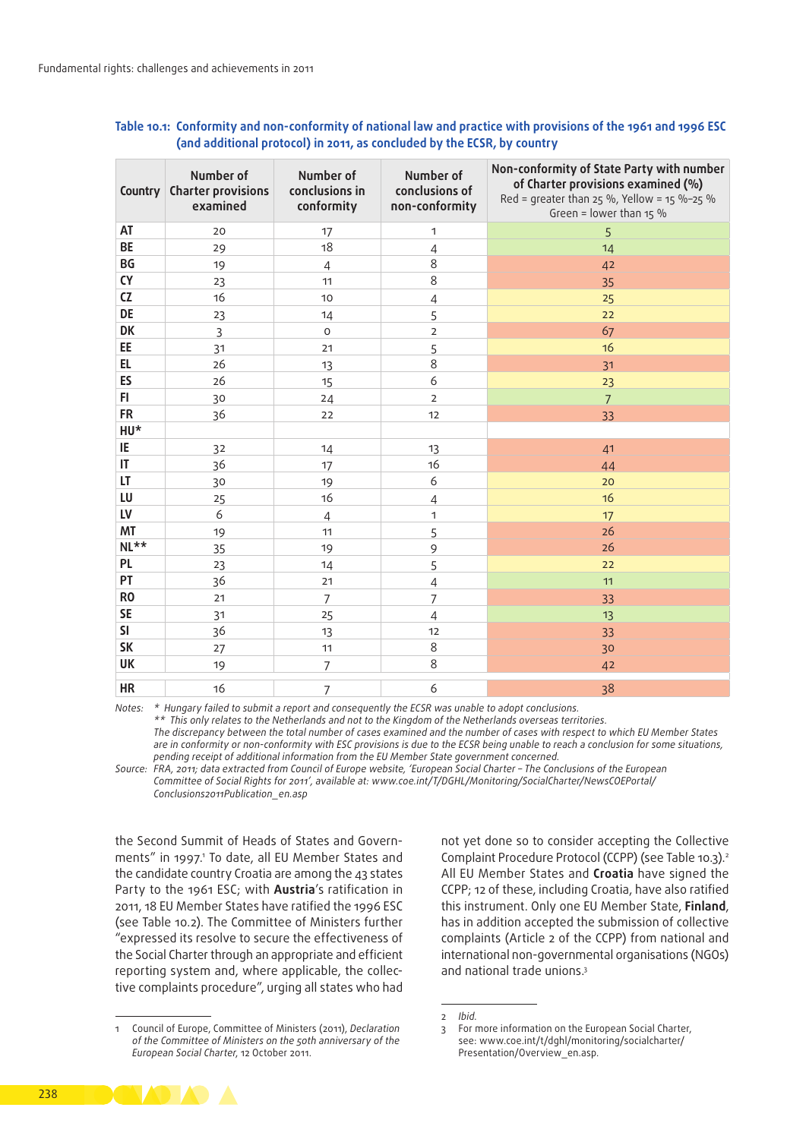|                | Number of<br><b>Country Charter provisions</b><br>examined | Number of<br>conclusions in<br>conformity | Number of<br>conclusions of<br>non-conformity | Non-conformity of State Party with number<br>of Charter provisions examined (%)<br>Red = greater than 25 %, Yellow = 15 %-25 %<br>Green = lower than $15\%$ |
|----------------|------------------------------------------------------------|-------------------------------------------|-----------------------------------------------|-------------------------------------------------------------------------------------------------------------------------------------------------------------|
| AT             | 20                                                         | 17                                        | 1                                             | 5                                                                                                                                                           |
| <b>BE</b>      | 29                                                         | 18                                        | $\overline{4}$                                | 14                                                                                                                                                          |
| <b>BG</b>      | 19                                                         | $\overline{4}$                            | 8                                             | 42                                                                                                                                                          |
| <b>CY</b>      | 23                                                         | 11                                        | 8                                             | 35                                                                                                                                                          |
| CZ             | 16                                                         | 10                                        | $\overline{4}$                                | 25                                                                                                                                                          |
| DE             | 23                                                         | 14                                        | 5                                             | 22                                                                                                                                                          |
| DK             | $\overline{3}$                                             | $\mathsf O$                               | $\overline{2}$                                | 67                                                                                                                                                          |
| EE             | 31                                                         | 21                                        | 5                                             | 16                                                                                                                                                          |
| EL             | 26                                                         | 13                                        | 8                                             | 31                                                                                                                                                          |
| ES             | 26                                                         | 15                                        | 6                                             | 23                                                                                                                                                          |
| FI.            | 30                                                         | 24                                        | $\overline{2}$                                | $\overline{7}$                                                                                                                                              |
| <b>FR</b>      | 36                                                         | 22                                        | 12                                            | 33                                                                                                                                                          |
| HU*            |                                                            |                                           |                                               |                                                                                                                                                             |
| IE             | 32                                                         | 14                                        | 13                                            | 41                                                                                                                                                          |
| IT             | 36                                                         | 17                                        | 16                                            | 44                                                                                                                                                          |
| LT             | 30                                                         | 19                                        | 6                                             | 20                                                                                                                                                          |
| LU             | 25                                                         | 16                                        | $\overline{4}$                                | 16                                                                                                                                                          |
| LV             | 6                                                          | $\overline{4}$                            | 1                                             | 17                                                                                                                                                          |
| <b>MT</b>      | 19                                                         | 11                                        | 5                                             | 26                                                                                                                                                          |
| $NL**$         | 35                                                         | 19                                        | 9                                             | 26                                                                                                                                                          |
| PL             | 23                                                         | 14                                        | 5                                             | 22                                                                                                                                                          |
| PT             | 36                                                         | 21                                        | $\overline{4}$                                | 11                                                                                                                                                          |
| R <sub>0</sub> | 21                                                         | $\overline{7}$                            | $\overline{7}$                                | 33                                                                                                                                                          |
| <b>SE</b>      | 31                                                         | 25                                        | $\overline{4}$                                | 13                                                                                                                                                          |
| <b>SI</b>      | 36                                                         | 13                                        | 12                                            | 33                                                                                                                                                          |
| <b>SK</b>      | 27                                                         | 11                                        | 8                                             | 30                                                                                                                                                          |
| <b>UK</b>      | 19                                                         | $\overline{7}$                            | 8                                             | 42                                                                                                                                                          |
| <b>HR</b>      | 16                                                         | 7                                         | 6                                             | 38                                                                                                                                                          |

#### **Table 10.1: Conformity and non‑conformity of national law and practice with provisions of the 1961 and 1996 ESC (and additional protocol) in 2011, as concluded by the ECSR, by country**

*Notes: \* Hungary failed to submit a report and consequently the ECSR was unable to adopt conclusions.*

*\*\* This only relates to the Netherlands and not to the Kingdom of the Netherlands overseas territories.*

*The discrepancy between the total number of cases examined and the number of cases with respect to which EU Member States are in conformity or non‑conformity with ESC provisions is due to the ECSR being unable to reach a conclusion for some situations, pending receipt of additional information from the EU Member State government concerned.*

*Source: FRA, 2011; data extracted from Council of Europe website, 'European Social Charter – The Conclusions of the European Committee of Social Rights for 2011', available at: [www.coe.int/T/DGHL/Monitoring/SocialCharter/NewsCOEPortal/](http://www.coe.int/T/DGHL/Monitoring/SocialCharter/NewsCOEPortal/Conclusions2011Publication_en.asp) [Conclusions2011Publication\\_en.asp](http://www.coe.int/T/DGHL/Monitoring/SocialCharter/NewsCOEPortal/Conclusions2011Publication_en.asp)*

the Second Summit of Heads of States and Governments" in 1997.1 To date, all EU Member States and the candidate country Croatia are among the 43 states Party to the 1961 ESC; with **Austria**'s ratification in 2011, 18 EU Member States have ratified the 1996 ESC (see Table 10.2). The Committee of Ministers further "expressed its resolve to secure the effectiveness of the Social Charter through an appropriate and efficient reporting system and, where applicable, the collective complaints procedure", urging all states who had

not yet done so to consider accepting the Collective Complaint Procedure Protocol (CCPP) (see Table 10.3).2 All EU Member States and **Croatia** have signed the CCPP; 12 of these, including Croatia, have also ratified this instrument. Only one EU Member State, **Finland**, has in addition accepted the submission of collective complaints (Article 2 of the CCPP) from national and international non‑governmental organisations (NGOs) and national trade unions.3



<sup>1</sup> Council of Europe, Committee of Ministers (2011), *Declaration of the Committee of Ministers on the 50th anniversary of the European Social Charter*, 12 October 2011.

<sup>2</sup> *Ibid.*

<sup>3</sup> For more information on the European Social Charter, see: [www.coe.int/t/dghl/monitoring/socialcharter/](http://www.coe.int/t/dghl/monitoring/socialcharter/Presentation/Overview_en.asp) [Presentation/Overview\\_en.asp.](http://www.coe.int/t/dghl/monitoring/socialcharter/Presentation/Overview_en.asp)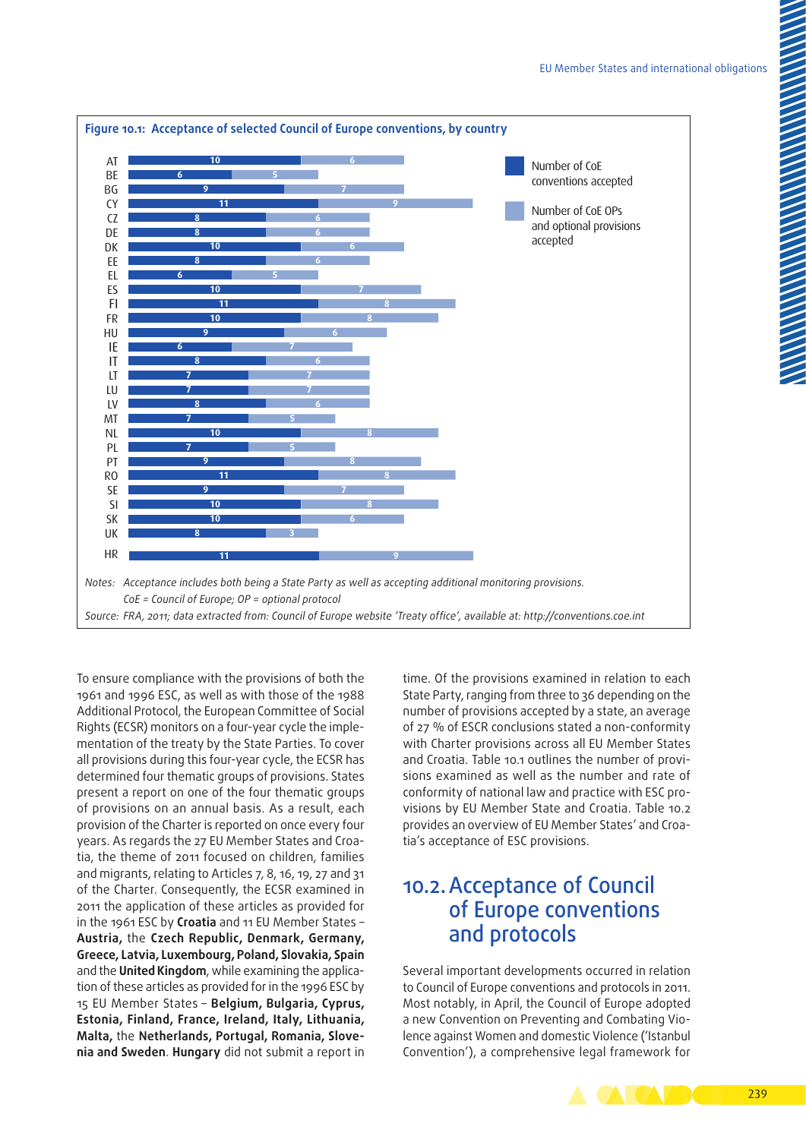

To ensure compliance with the provisions of both the 1961 and 1996 ESC, as well as with those of the 1988 Additional Protocol, the European Committee of Social Rights (ECSR) monitors on a four-year cycle the implementation of the treaty by the State Parties. To cover all provisions during this four-year cycle, the ECSR has determined four thematic groups of provisions. States present a report on one of the four thematic groups of provisions on an annual basis. As a result, each provision of the Charter is reported on once every four years. As regards the 27 EU Member States and Croatia, the theme of 2011 focused on children, families and migrants, relating to Articles 7, 8, 16, 19, 27 and 31 of the Charter. Consequently, the ECSR examined in 2011 the application of these articles as provided for in the 1961 ESC by **Croatia** and 11 EU Member States – **Austria,** the **Czech Republic, Denmark, Germany, Greece, Latvia, Luxembourg, Poland, Slovakia, Spain** and the **United Kingdom**, while examining the application of these articles as provided for in the 1996 ESC by 15 EU Member States – **Belgium, Bulgaria, Cyprus, Estonia, Finland, France, Ireland, Italy, Lithuania, Malta,** the **Netherlands, Portugal, Romania, Slove‑ nia and Sweden**. **Hungary** did not submit a report in time. Of the provisions examined in relation to each State Party, ranging from three to 36 depending on the number of provisions accepted by a state, an average of 27 % of ESCR conclusions stated a non‑conformity with Charter provisions across all EU Member States and Croatia. Table 10.1 outlines the number of provisions examined as well as the number and rate of conformity of national law and practice with ESC provisions by EU Member State and Croatia. Table 10.2 provides an overview of EU Member States' and Croatia's acceptance of ESC provisions.

## 10.2. Acceptance of Council of Europe conventions and protocols

Several important developments occurred in relation to Council of Europe conventions and protocols in 2011. Most notably, in April, the Council of Europe adopted a new Convention on Preventing and Combating Violence against Women and domestic Violence ('Istanbul Convention'), a comprehensive legal framework for

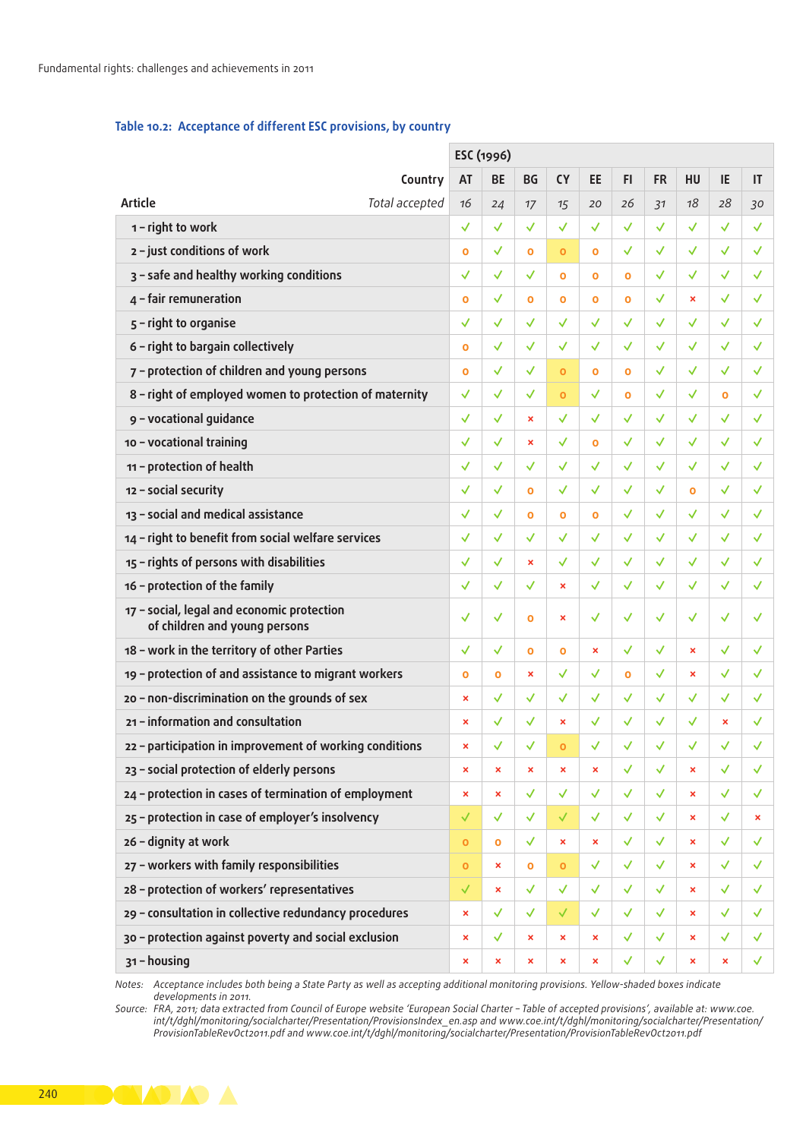#### Table 10.2: Acceptance of different ESC provisions, by country

*Notes: Acceptance includes both being a State Party as well as accepting additional monitoring provisions. Yellow-shaded boxes indicate developments in 2011.*

*Source: FRA, 2011; data extracted from Council of Europe website 'European Social Charter – Table of accepted provisions', available at: [www.coe.](http://www.coe.int/t/dghl/monitoring/socialcharter/Presentation/ProvisionsIndex_en.asp) [int/t/dghl/monitoring/socialcharter/Presentation/ProvisionsIndex\\_en.asp](http://www.coe.int/t/dghl/monitoring/socialcharter/Presentation/ProvisionsIndex_en.asp) and [www.coe.int/t/dghl/monitoring/socialcharter/Presentation/](/www.coe.int/t/dghl/monitoring/socialcharter/Presentation/ProvisionTableRevOct2011.pdf ) [ProvisionTableRevOct2011.pdf](/www.coe.int/t/dghl/monitoring/socialcharter/Presentation/ProvisionTableRevOct2011.pdf ) and [www.coe.int/t/dghl/monitoring/socialcharter/Presentation/ProvisionTableRevOct2011.pdf](http://www.coe.int/t/dghl/monitoring/socialcharter/Presentation/ProvisionTableRevOct2011.pdf)*

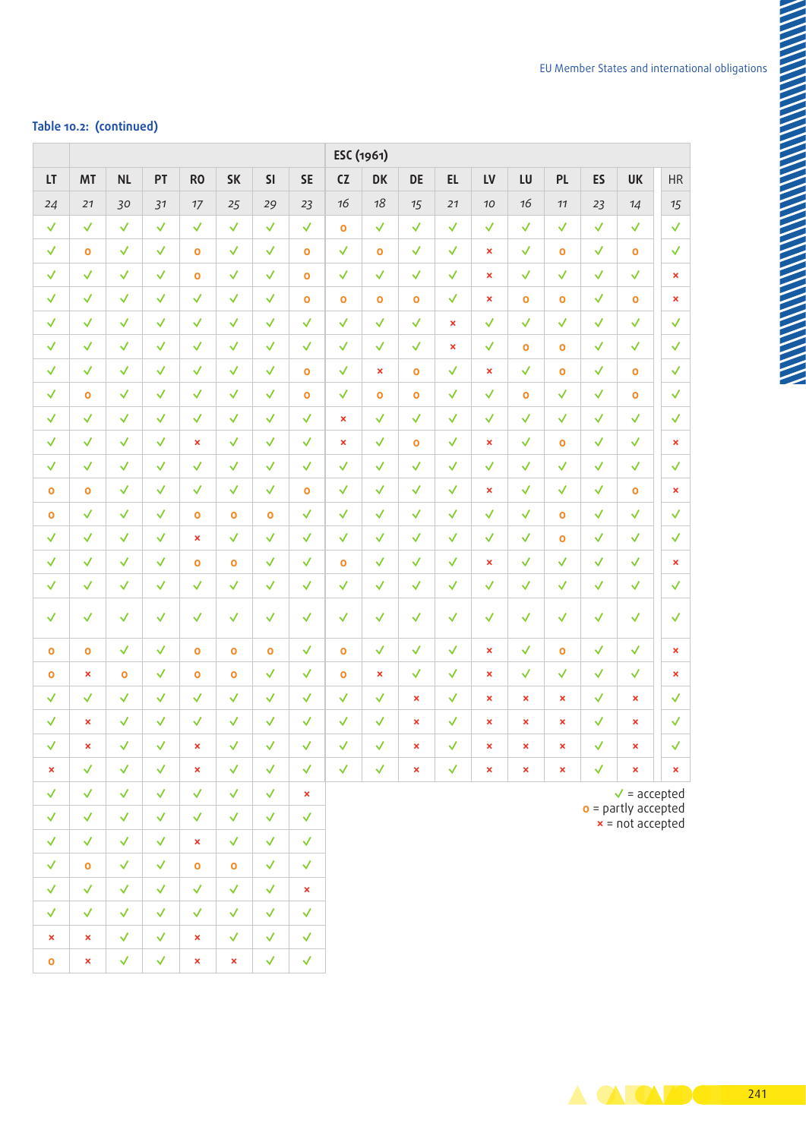### **Table 10.2: (continued)**

|                                |                                     |              |              |                              |                              |                              |                              |                      | ESC (1961)        |                       |                             |                     |                              |                              |                      |                                                                                          |    |
|--------------------------------|-------------------------------------|--------------|--------------|------------------------------|------------------------------|------------------------------|------------------------------|----------------------|-------------------|-----------------------|-----------------------------|---------------------|------------------------------|------------------------------|----------------------|------------------------------------------------------------------------------------------|----|
| LT                             | <b>MT</b>                           | <b>NL</b>    | PT           | <b>RO</b>                    | <b>SK</b>                    | SI                           | <b>SE</b>                    | CZ                   | <b>DK</b>         | DE                    | <b>EL</b>                   | <b>LV</b>           | LU                           | <b>PL</b>                    | ES                   | <b>UK</b>                                                                                | HR |
| 24                             | 21                                  | 30           | 31           | 17                           | 25                           | 29                           | 23                           | 16                   | 18                | 15                    | 21                          | 10                  | 16                           | 11                           | 23                   | 14                                                                                       | 15 |
| ✓                              | √                                   |              |              | √                            | ✓                            | $\checkmark$                 | $\blacktriangledown$         | $\bullet$            | $\checkmark$      | √                     | √                           | √                   | ✓                            | √                            | √                    | √                                                                                        |    |
| $\checkmark$                   | $\mathbf{o}$                        | √            | ✓            | $\mathbf{o}$                 | $\checkmark$                 | $\checkmark$                 | $\bullet$                    | $\checkmark$         | $\bullet$         | $\checkmark$          | $\checkmark$                | $\mathbf{x}$        | √                            | $\mathbf{o}$                 | $\checkmark$         | $\bullet$                                                                                |    |
| $\checkmark$                   | ✓                                   | $\checkmark$ | $\checkmark$ | $\mathbf{o}$                 | $\checkmark$                 | $\checkmark$                 | $\bullet$                    | $\checkmark$         | $\checkmark$      | $\checkmark$          | $\checkmark$                | $\mathbf{x}$        | √                            | $\checkmark$                 | $\checkmark$         |                                                                                          |    |
| $\checkmark$                   | $\checkmark$                        | $\checkmark$ | $\checkmark$ | $\checkmark$                 | $\checkmark$                 | $\checkmark$                 | $\bullet$                    | $\mathbf{o}$         | $\bullet$         | $\bullet$             | $\checkmark$                | $\mathbf{x}$        | $\bullet$                    | $\bullet$                    | $\checkmark$         | $\mathbf{o}$                                                                             |    |
| $\checkmark$                   | $\checkmark$                        | ✓            | $\checkmark$ | √                            | ✓                            | $\checkmark$                 | $\checkmark$                 | $\checkmark$         | $\checkmark$      | $\checkmark$          | $\pmb{\times}$              | $\checkmark$        | $\checkmark$                 | $\checkmark$                 | $\checkmark$         | $\checkmark$                                                                             |    |
| $\checkmark$                   | $\checkmark$                        | $\checkmark$ | $\checkmark$ | $\checkmark$                 | $\checkmark$                 | $\checkmark$                 | $\checkmark$                 | $\checkmark$         | $\checkmark$      | $\checkmark$          | $\mathbf{x}$                | $\checkmark$        | $\bullet$                    | $\bullet$                    | $\checkmark$         | √                                                                                        |    |
| $\checkmark$                   | ✓                                   | $\checkmark$ | $\checkmark$ | $\checkmark$                 | $\checkmark$                 | $\checkmark$                 | $\bullet$                    | $\checkmark$         | $\pmb{\times}$    | $\bullet$             | $\checkmark$                | $\pmb{\times}$      | $\checkmark$                 | $\mathbf{o}$                 | $\checkmark$         | $\mathbf{o}$                                                                             |    |
| $\checkmark$                   | $\mathbf 0$                         | $\checkmark$ | $\checkmark$ | $\checkmark$                 | $\checkmark$                 | $\checkmark$                 | $\bullet$                    | $\blacktriangledown$ | $\bullet$         | $\bullet$             | $\mathcal{A}$               | $\checkmark$        | $\mathbf 0$                  | $\checkmark$                 | $\checkmark$         | $\mathbf{o}$                                                                             |    |
| $\checkmark$                   |                                     | $\checkmark$ | $\checkmark$ | $\checkmark$                 | $\checkmark$                 | $\checkmark$                 | $\checkmark$                 | $\pmb{\times}$       | $\checkmark$      | $\checkmark$          | $\checkmark$                | $\checkmark$        | $\checkmark$                 | $\checkmark$                 | $\checkmark$         | $\checkmark$                                                                             |    |
| $\checkmark$                   | $\checkmark$                        | $\checkmark$ | $\checkmark$ | $\pmb{\times}$               | $\checkmark$                 | $\checkmark$                 | $\mathcal{A}$                | $\propto$            | $\checkmark$      | $\mathbf 0$           | $\checkmark$                | $\pmb{\times}$      | $\checkmark$                 | $\mathbf 0$                  | $\checkmark$         |                                                                                          |    |
| $\checkmark$                   | $\checkmark$                        | $\checkmark$ | $\checkmark$ | $\checkmark$                 | $\checkmark$                 | $\checkmark$                 | $\checkmark$                 | $\checkmark$         | $\checkmark$      | $\checkmark$          | $\checkmark$                | $\checkmark$        | $\checkmark$                 | $\checkmark$                 | $\blacktriangledown$ | $\checkmark$                                                                             |    |
| $\mathbf{o}$                   | $\mathbf{o}$                        | $\checkmark$ | $\checkmark$ | $\checkmark$                 | $\checkmark$                 | $\checkmark$                 | $\bullet$                    | $\checkmark$         | $\checkmark$      | $\checkmark$          | $\checkmark$                | $\pmb{\times}$      | $\checkmark$                 | $\checkmark$                 | $\checkmark$         | $\bullet$                                                                                |    |
| $\mathbf{o}$                   | $\checkmark$                        | $\checkmark$ | $\checkmark$ | $\mathbf 0$                  | $\mathbf 0$                  | $\mathbf 0$                  | $\checkmark$                 | $\checkmark$         | $\checkmark$      | ✓                     | √                           | √                   | $\checkmark$                 | $\bullet$                    | $\checkmark$         |                                                                                          |    |
| $\checkmark$                   | ✓                                   | $\checkmark$ | √            | $\pmb{\times}$               | ✓                            | ✓                            | $\checkmark$                 | $\checkmark$         | ✓                 | √                     | √                           | √                   | √                            | $\bullet$                    | $\checkmark$         |                                                                                          |    |
| $\checkmark$                   | √                                   | $\checkmark$ | $\checkmark$ | $\mathbf{o}$                 | $\mathbf 0$                  | $\checkmark$                 | $\checkmark$                 | $\bullet$            | $\checkmark$      | $\checkmark$          | $\checkmark$                | $\pmb{\times}$      | $\checkmark$                 | $\checkmark$                 | $\checkmark$         | √                                                                                        |    |
| $\checkmark$                   | $\checkmark$                        | √            | √            | √                            | $\checkmark$                 | $\checkmark$                 | $\checkmark$                 | $\checkmark$         | $\checkmark$      | ✓                     | $\checkmark$                | $\checkmark$        | √                            | $\checkmark$                 | $\checkmark$         |                                                                                          |    |
| $\checkmark$                   |                                     |              |              |                              |                              |                              |                              | √                    | √                 | √                     | √                           | ◡                   | ✓                            |                              |                      |                                                                                          |    |
| $\mathbf{o}$                   | $\mathbf{o}$                        | √            | ᄿ            | $\mathbf{o}$                 | $\mathbf{o}$                 | $\mathbf{o}$                 | $\checkmark$                 | $\mathbf{o}$         | $\checkmark$      | $\checkmark$          | $\checkmark$                | $\pmb{\times}$      | √                            | $\bullet$                    | $\checkmark$         |                                                                                          |    |
| $\mathbf{o}$                   | $\mathbf x$                         | $\mathbf{o}$ | $\checkmark$ | $\bullet$                    | $\mathbf{o}$                 | $\checkmark$                 | $\checkmark$                 | $\mathbf{o}$         | $\propto$         | $\checkmark$          | $\checkmark$                | $\pmb{\times}$      | $\checkmark$                 | $\checkmark$                 | $\checkmark$         |                                                                                          |    |
| $\checkmark$                   | $\checkmark$                        | ✓            | ✓            | √                            | ✓                            | $\checkmark$                 | $\checkmark$                 | $\checkmark$         | $\checkmark$      | $\mathbf{x}$          | ✓                           | $\pmb{\times}$      | $\mathbf x$                  | $\mathbf{x}$                 | $\checkmark$         | $\mathbf{x}$                                                                             |    |
| $\checkmark$                   | $\mathbf x$                         | $\checkmark$ | $\checkmark$ | $\checkmark$                 | $\checkmark$                 | $\checkmark$                 | $\checkmark$                 | $\checkmark$         | $\sqrt{2}$        | $\mathbf{x}$          | $\checkmark$                | $\pmb{\times}$      | $\pmb{\times}$               | $\mathbf x$                  | $\checkmark$         | $\mathbf{x}$                                                                             |    |
| $\checkmark$                   | $\mathbf{x}$                        | $\checkmark$ | $\checkmark$ | $\pmb{\times}$               | $\checkmark$                 | $\checkmark$                 | $\checkmark$                 | $\checkmark$         | $\checkmark$      | $\boldsymbol{\times}$ | $\checkmark$                | $\pmb{\times}$      | $\pmb{\times}$               | $\pmb{\times}$               | $\checkmark$         | $\boldsymbol{\times}$                                                                    |    |
| $\mathbf{x}_\parallel$         | $\checkmark$                        | $\checkmark$ | $\checkmark$ | $\langle \mathsf{x} \rangle$ | $\mathcal{A}$                | $\checkmark$                 | $\checkmark$                 | $\mathcal{A}^{\pm}$  | $\langle \langle$ | $\mathbf{x}$          | $\mathcal{A}^{\mathcal{A}}$ | $\mathbf{x}^{\top}$ | $\langle \mathbf{x} \rangle$ | $\langle \mathbf{x} \rangle$ | $\checkmark$         | $\langle \mathbf{x} \rangle$                                                             |    |
| $\checkmark$                   | $\checkmark$                        | $\checkmark$ | $\checkmark$ | $\mathcal{A}$                | $\mathcal{A}$                | $\checkmark$                 | $\mathbf{x}$                 |                      |                   |                       |                             |                     |                              |                              |                      |                                                                                          |    |
| $\checkmark$                   | $\checkmark$                        | $\checkmark$ | $\checkmark$ | $\checkmark$                 | $\checkmark$                 | $\checkmark$                 | $\checkmark$                 |                      |                   |                       |                             |                     |                              |                              |                      | $\sqrt{\phantom{0}}$ = accepted<br><b>o</b> = partly accepted<br><b>x</b> = not accepted |    |
|                                | $\checkmark$                        | $\checkmark$ | $\checkmark$ | $\mathbf{x}$                 | $\checkmark$                 | $\checkmark$                 | $\checkmark$                 |                      |                   |                       |                             |                     |                              |                              |                      |                                                                                          |    |
| $\checkmark$                   | $\bullet$                           | $\checkmark$ | $\checkmark$ | $\bullet$                    | $\bullet$                    | $\checkmark$                 | $\checkmark$                 |                      |                   |                       |                             |                     |                              |                              |                      |                                                                                          |    |
| $\checkmark$                   |                                     |              |              |                              |                              |                              |                              |                      |                   |                       |                             |                     |                              |                              |                      |                                                                                          |    |
| $\checkmark$                   | $\checkmark$                        | $\checkmark$ | $\checkmark$ | $\checkmark$                 | $\checkmark$                 | $\checkmark$                 | $\pmb{\times}$               |                      |                   |                       |                             |                     |                              |                              |                      |                                                                                          |    |
|                                |                                     | $\checkmark$ | $\checkmark$ |                              |                              |                              |                              |                      |                   |                       |                             |                     |                              |                              |                      |                                                                                          |    |
| $\checkmark$<br>$\pmb{\times}$ | $\mathcal{A}^{\pm}$<br>$\mathbf{x}$ | $\checkmark$ | $\checkmark$ | $\checkmark$<br>$\mathbf{x}$ | $\checkmark$<br>$\checkmark$ | $\checkmark$<br>$\checkmark$ | $\checkmark$<br>$\checkmark$ |                      |                   |                       |                             |                     |                              |                              |                      |                                                                                          |    |

**ACADE 241**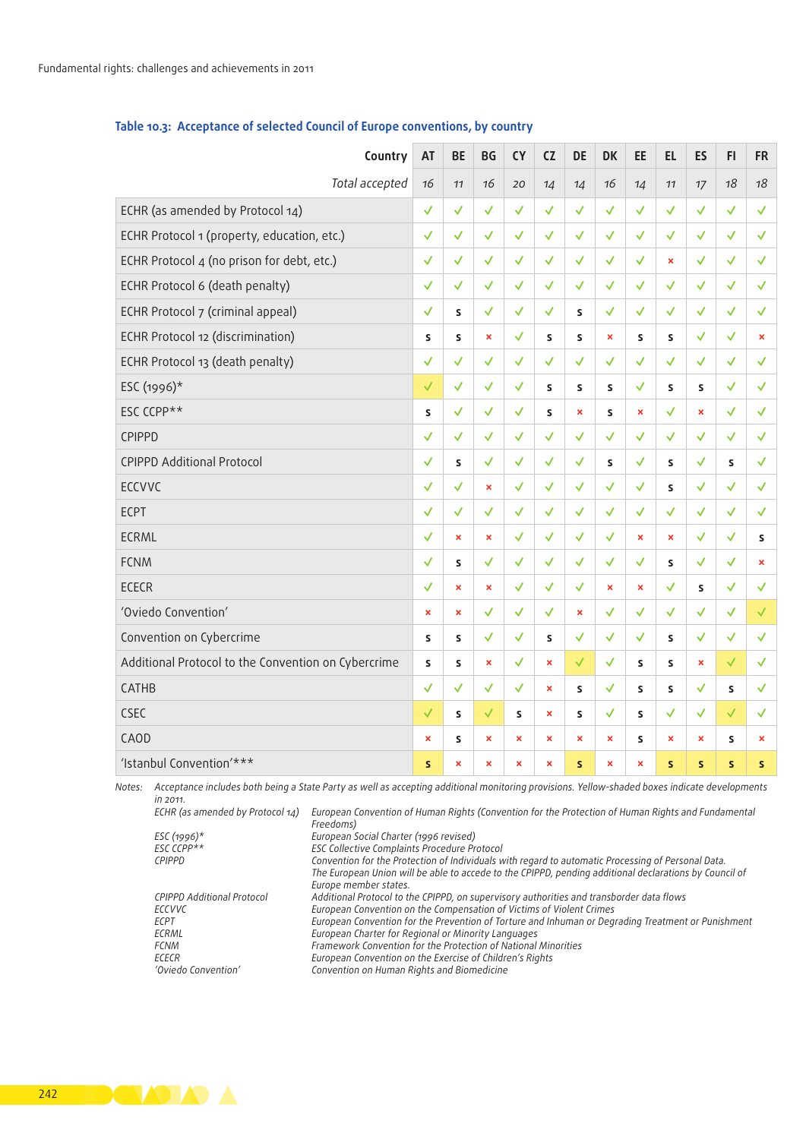| Country                                             | AT                    | BE                          | BG                        | <b>CY</b>                 | CZ                        | DE                        | <b>DK</b>                   | EE                    | EL.                       | <b>ES</b>                 | F1           | <b>FR</b>                 |  |
|-----------------------------------------------------|-----------------------|-----------------------------|---------------------------|---------------------------|---------------------------|---------------------------|-----------------------------|-----------------------|---------------------------|---------------------------|--------------|---------------------------|--|
| Total accepted 16                                   |                       | 11                          | 16                        | 20                        | 14                        | 14                        | 16                          | 14                    | 11                        | 17                        | 18           | 18                        |  |
| ECHR (as amended by Protocol 14)                    | $\checkmark$          | $\checkmark$                |                           |                           | √                         | ✓                         | $\checkmark$                |                       | M                         |                           | √            | √                         |  |
| ECHR Protocol 1 (property, education, etc.)         | $\checkmark$          | $\mathcal{A}$               |                           |                           |                           |                           |                             |                       |                           |                           |              |                           |  |
| ECHR Protocol 4 (no prison for debt, etc.)          | $\checkmark$          | $\mathcal{A}$               |                           |                           |                           | $\checkmark$              | $\checkmark$                |                       | $\boldsymbol{\mathsf{x}}$ |                           | $\checkmark$ |                           |  |
| ECHR Protocol 6 (death penalty)                     | $\checkmark$          | $\checkmark$                |                           |                           | $\checkmark$              | $\checkmark$              | $\checkmark$                |                       |                           |                           | $\checkmark$ |                           |  |
| ECHR Protocol 7 (criminal appeal)                   | $\checkmark$          | $\mathsf S$                 |                           |                           | $\checkmark$              | $\mathsf{s}$              | ✓                           |                       |                           | ✓                         | $\checkmark$ | √                         |  |
| ECHR Protocol 12 (discrimination)                   | S                     | $\mathsf{s}$                | $\boldsymbol{\mathsf{x}}$ |                           | $\mathsf{s}$              | $\mathsf{s}$              | $\boldsymbol{\mathsf{x}}$   | $\mathsf{s}$          | $\mathsf{s}$              | $\checkmark$              | $\checkmark$ | $\boldsymbol{\mathsf{x}}$ |  |
| ECHR Protocol 13 (death penalty)                    | $\checkmark$          | $\checkmark$                | $\checkmark$              | $\checkmark$              | $\checkmark$              | $\checkmark$              | $\mathcal{A}^{\mathcal{A}}$ | $\checkmark$          | $\checkmark$              | $\checkmark$              | $\checkmark$ | √                         |  |
| ESC (1996)*                                         | $\checkmark$          | $\mathcal{A}^{\mathcal{A}}$ | $\checkmark$              | $\checkmark$              | $\mathsf S$               | $\mathsf S$               | $\mathsf{s}$                | $\checkmark$          | $\mathsf{s}$              | $\mathsf S$               | $\checkmark$ | √                         |  |
| ESC CCPP**                                          | S                     | $\checkmark$                |                           | $\checkmark$              | $\mathsf S$               | $\pmb{\times}$            | $\mathsf S$                 | $\pmb{\times}$        | ✓                         | $\bar{\mathbf{x}}$        | $\checkmark$ |                           |  |
| CPIPPD                                              | $\checkmark$          | $\checkmark$                | $\checkmark$              |                           | $\checkmark$              | $\checkmark$              | $\checkmark$                | $\checkmark$          | $\checkmark$              | ✓                         | $\checkmark$ |                           |  |
| <b>CPIPPD Additional Protocol</b>                   | $\checkmark$          | $\mathsf{s}$                |                           |                           | $\checkmark$              | $\checkmark$              | $\mathsf{s}$                |                       | s                         | $\mathcal{A}$             | $\mathsf{s}$ | $\checkmark$              |  |
| ECCVVC                                              | $\checkmark$          | $\checkmark$                | $\mathbf{x}$              |                           | $\checkmark$              | $\checkmark$              | $\checkmark$                | $\checkmark$          | s                         | $\checkmark$              | √            |                           |  |
| ECPT                                                | $\sqrt{2}$            | $\checkmark$                |                           |                           |                           | $\checkmark$              | $\checkmark$                |                       | ✓                         | $\checkmark$              | $\checkmark$ |                           |  |
| ECRML                                               | $\checkmark$          | $\boldsymbol{\mathsf{x}}$   | $\pmb{\times}$            | $\checkmark$              | $\checkmark$              | $\checkmark$              | $\mathcal{A}$               | $\pmb{\times}$        | $\boldsymbol{\mathsf{x}}$ | $\checkmark$              | $\checkmark$ | $\mathsf{s}$              |  |
| FCNM                                                | $\sqrt{2}$            | $\sf S$                     |                           |                           |                           | ✓                         | $\checkmark$                |                       | s                         | $\checkmark$              | $\checkmark$ | $\boldsymbol{\mathsf{x}}$ |  |
| ECECR                                               | $\checkmark$          | $\pmb{\times}$              | $\pmb{\times}$            | $\checkmark$              | $\checkmark$              | $\checkmark$              | $\boldsymbol{\mathsf{x}}$   | $\pmb{\times}$        | $\checkmark$              | $\mathsf{s}$              |              |                           |  |
| 'Oviedo Convention'                                 | $\mathbf{x}$ .        | $\pmb{\times}$              |                           |                           |                           | $\boldsymbol{\mathsf{x}}$ | $\checkmark$                |                       | ✓                         |                           |              |                           |  |
| Convention on Cybercrime                            | S                     | S                           | $\checkmark$              | ✓                         | $\mathsf{s}$              | $\checkmark$              | $\checkmark$                |                       | s                         | $\checkmark$              |              |                           |  |
| Additional Protocol to the Convention on Cybercrime | S                     | $\mathsf{s}$                | $\boldsymbol{\mathsf{x}}$ |                           | $\boldsymbol{\times}$     |                           | ✓                           | $\mathsf{s}$          | s                         | $\pmb{\times}$            |              |                           |  |
| CATHB                                               | $\checkmark$          | $\mathcal{A}^{\mathcal{A}}$ |                           |                           | $\mathbf{x}$              | S.                        | $\checkmark$                | $\mathsf{s}$          | S                         | ✓                         | $\mathsf{s}$ | √                         |  |
| CSEC                                                | $\checkmark$          | S                           |                           | $\mathsf{s}$              | $\mathbf{x}$              | $\mathsf{s}$              | $\checkmark$                | $\mathsf{s}$          | $\checkmark$              | $\checkmark$              | $\checkmark$ | $\checkmark$              |  |
| CAOD                                                | $\boldsymbol{\times}$ | $\mathsf{s}$                | $\boldsymbol{\times}$     | $\boldsymbol{\mathsf{x}}$ | $\boldsymbol{\mathsf{x}}$ | $\boldsymbol{\mathsf{x}}$ | $\boldsymbol{\mathsf{x}}$   | $\mathsf{s}$          | $\boldsymbol{\mathsf{x}}$ | $\boldsymbol{\mathsf{x}}$ | $\mathsf{s}$ | $\mathbf{x}$              |  |
| 'Istanbul Convention'***                            | S                     | $\mathbf{x}$                | $\pmb{\times}$            | $\boldsymbol{\mathsf{x}}$ | $\mathbf{x}$              | S                         | $\boldsymbol{\mathsf{x}}$   | $\boldsymbol{\times}$ | $\mathsf{s}$              | <b>S</b>                  | S            | $\mathsf{s}$              |  |

### Table 10.3: Acceptance of selected Council of Europe conventions, by country

*Notes: Acceptance includes both being a State Party as well as accepting additional monitoring provisions. Yellow-shaded boxes indicate developments in 2011. ECHR (as amended by Protocol 14) European Convention of Human Rights (Convention for the Protection of Human Rights and Fundamental* 

| ECHR (as amended by Protocol 14) | -European Convention of Human Rights (Convention for the Protection of Human Rights and Fundamental    |
|----------------------------------|--------------------------------------------------------------------------------------------------------|
|                                  | Freedoms)                                                                                              |
| ESC (1996)*                      | European Social Charter (1996 revised)                                                                 |
| $FSC$ $CPP**$                    | <b>ESC Collective Complaints Procedure Protocol</b>                                                    |
| <b>CPIPPD</b>                    | Convention for the Protection of Individuals with regard to automatic Processing of Personal Data.     |
|                                  | The European Union will be able to accede to the CPIPPD, pending additional declarations by Council of |
|                                  | Europe member states.                                                                                  |
| CPIPPD Additional Protocol       | Additional Protocol to the CPIPPD, on supervisory authorities and transborder data flows               |
| ECCVVC                           | European Convention on the Compensation of Victims of Violent Crimes                                   |
| <b>ECPT</b>                      | European Convention for the Prevention of Torture and Inhuman or Degrading Treatment or Punishment     |
| ECRML                            | European Charter for Regional or Minority Languages                                                    |
| <b>FCNM</b>                      | Framework Convention for the Protection of National Minorities                                         |
| ECECR                            | European Convention on the Exercise of Children's Rights                                               |
| 'Oviedo Convention'              | Convention on Human Rights and Biomedicine                                                             |
|                                  |                                                                                                        |

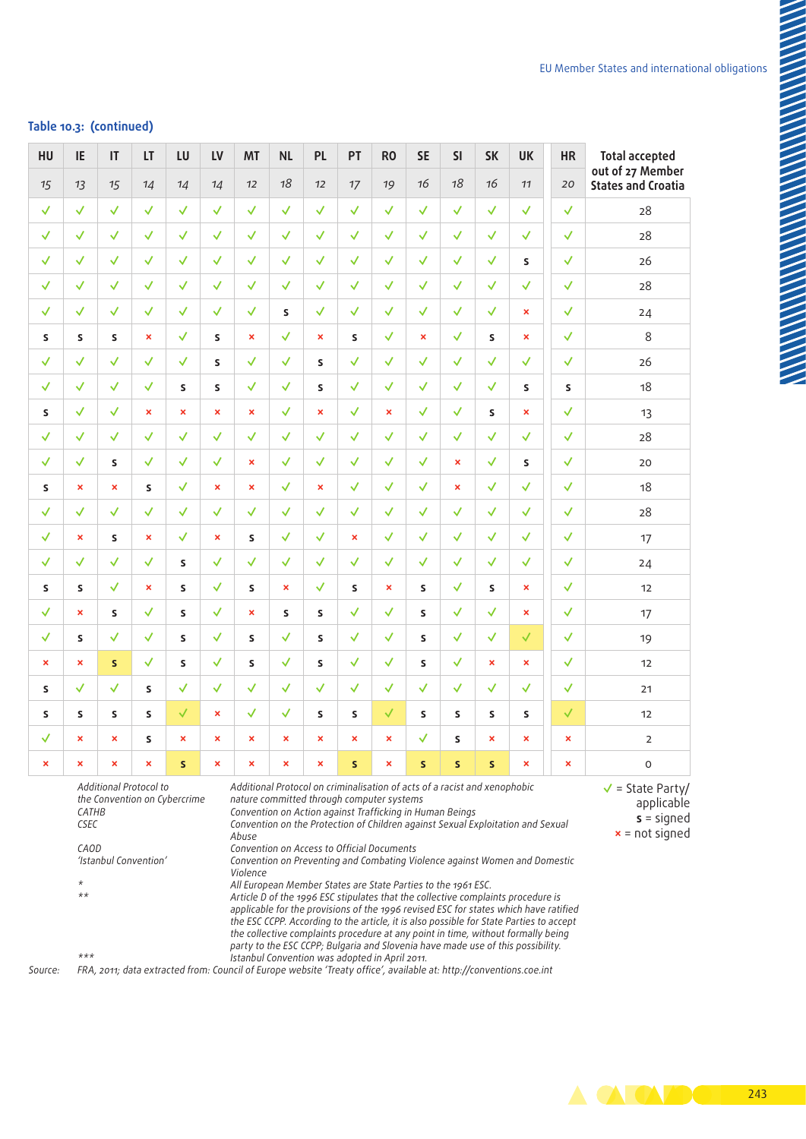### Table 10.3: (continued)

| HU                        | IE                                                                                                                                                                                                                                                                                                                                                                                                                                                                                                                                                                                                                                                                                                                                                                                                                                                                                                                                                                                                                                                                    | IT                        | LT                        | LU             | LV                        | <b>MT</b>                 | $\sf NL$                  | PL                        | PT                        | R <sub>0</sub>            | <b>SE</b>                 | <b>SI</b>      | <b>SK</b>                 | UK                        | HR                                                                           | <b>Total accepted</b><br>out of 27 Member |
|---------------------------|-----------------------------------------------------------------------------------------------------------------------------------------------------------------------------------------------------------------------------------------------------------------------------------------------------------------------------------------------------------------------------------------------------------------------------------------------------------------------------------------------------------------------------------------------------------------------------------------------------------------------------------------------------------------------------------------------------------------------------------------------------------------------------------------------------------------------------------------------------------------------------------------------------------------------------------------------------------------------------------------------------------------------------------------------------------------------|---------------------------|---------------------------|----------------|---------------------------|---------------------------|---------------------------|---------------------------|---------------------------|---------------------------|---------------------------|----------------|---------------------------|---------------------------|------------------------------------------------------------------------------|-------------------------------------------|
| $15$                      | 13                                                                                                                                                                                                                                                                                                                                                                                                                                                                                                                                                                                                                                                                                                                                                                                                                                                                                                                                                                                                                                                                    | 15                        | 14                        | 14             | 14                        | 12                        | 18                        | 12                        | $17$                      | 19                        | 16                        | 18             | 16                        | 11                        | 20                                                                           | <b>States and Croatia</b>                 |
| $\checkmark$              | √                                                                                                                                                                                                                                                                                                                                                                                                                                                                                                                                                                                                                                                                                                                                                                                                                                                                                                                                                                                                                                                                     | $\checkmark$              | $\checkmark$              | $\checkmark$   | $\checkmark$              | $\checkmark$              | $\checkmark$              | $\checkmark$              | √                         | $\checkmark$              | √                         | $\checkmark$   | $\checkmark$              | $\checkmark$              | $\checkmark$                                                                 | 28                                        |
| $\checkmark$              | ✓                                                                                                                                                                                                                                                                                                                                                                                                                                                                                                                                                                                                                                                                                                                                                                                                                                                                                                                                                                                                                                                                     | $\checkmark$              | $\checkmark$              | $\checkmark$   | $\checkmark$              | ✓                         | ✓                         | ✓                         |                           | $\checkmark$              | √                         | ✓              |                           | $\checkmark$              | $\checkmark$                                                                 | 28                                        |
| $\checkmark$              | √                                                                                                                                                                                                                                                                                                                                                                                                                                                                                                                                                                                                                                                                                                                                                                                                                                                                                                                                                                                                                                                                     | $\checkmark$              | $\checkmark$              | $\checkmark$   | $\checkmark$              | $\mathcal{A}$             | $\checkmark$              | $\checkmark$              | $\checkmark$              | $\checkmark$              | $\checkmark$              | $\checkmark$   |                           | S                         | $\checkmark$                                                                 | 26                                        |
| $\checkmark$              | $\checkmark$                                                                                                                                                                                                                                                                                                                                                                                                                                                                                                                                                                                                                                                                                                                                                                                                                                                                                                                                                                                                                                                          | $\checkmark$              | $\checkmark$              | $\checkmark$   | $\checkmark$              | $\checkmark$              | $\checkmark$              | $\checkmark$              | $\checkmark$              | $\checkmark$              | $\checkmark$              | $\checkmark$   | $\checkmark$              | $\checkmark$              | $\checkmark$                                                                 | ${\bf 28}$                                |
| $\checkmark$              | √                                                                                                                                                                                                                                                                                                                                                                                                                                                                                                                                                                                                                                                                                                                                                                                                                                                                                                                                                                                                                                                                     | $\checkmark$              | $\checkmark$              | $\checkmark$   | $\checkmark$              | $\checkmark$              | $\mathsf{s}$              | $\checkmark$              | $\checkmark$              | ✓                         | $\checkmark$              | $\checkmark$   | $\checkmark$              | $\pmb{\times}$            | $\checkmark$                                                                 | 24                                        |
| S                         | S                                                                                                                                                                                                                                                                                                                                                                                                                                                                                                                                                                                                                                                                                                                                                                                                                                                                                                                                                                                                                                                                     | <b>S</b>                  | $\boldsymbol{\mathsf{x}}$ | $\checkmark$   | S.                        | $\pmb{\times}$            | √                         | $\pmb{\times}$            | $\mathsf{s}$              | $\checkmark$              | $\boldsymbol{\mathsf{x}}$ | $\checkmark$   | <b>S</b>                  | $\mathbf{x}$              | $\checkmark$                                                                 | $\,8\,$                                   |
| $\checkmark$              | $\checkmark$                                                                                                                                                                                                                                                                                                                                                                                                                                                                                                                                                                                                                                                                                                                                                                                                                                                                                                                                                                                                                                                          | $\checkmark$              | $\checkmark$              | $\checkmark$   | S                         | $\checkmark$              | $\checkmark$              | $\mathsf{s}$              | $\checkmark$              | $\checkmark$              | $\checkmark$              | $\checkmark$   | ✓                         | $\checkmark$              | $\checkmark$                                                                 | 26                                        |
| $\checkmark$              | $\checkmark$                                                                                                                                                                                                                                                                                                                                                                                                                                                                                                                                                                                                                                                                                                                                                                                                                                                                                                                                                                                                                                                          | $\checkmark$              | $\checkmark$              | S.             | S.                        | $\checkmark$              | $\checkmark$              | $\mathsf{s}$              | $\checkmark$              | $\checkmark$              | $\checkmark$              | $\checkmark$   | $\checkmark$              | $\mathsf{s}$              | S.                                                                           | 18                                        |
| $\mathsf S$               | √                                                                                                                                                                                                                                                                                                                                                                                                                                                                                                                                                                                                                                                                                                                                                                                                                                                                                                                                                                                                                                                                     | $\checkmark$              | $\pmb{\times}$            | $\pmb{\times}$ | $\pmb{\times}$            | $\pmb{\times}$            | $\checkmark$              | $\pmb{\times}$            | $\checkmark$              | $\pmb{\times}$            | $\checkmark$              | $\checkmark$   | S                         | $\boldsymbol{\mathsf{x}}$ | $\checkmark$                                                                 | 13                                        |
| $\checkmark$              | √                                                                                                                                                                                                                                                                                                                                                                                                                                                                                                                                                                                                                                                                                                                                                                                                                                                                                                                                                                                                                                                                     | $\checkmark$              | $\checkmark$              | $\checkmark$   | $\checkmark$              | $\checkmark$              | ✓                         | $\checkmark$              | $\checkmark$              | $\checkmark$              | $\checkmark$              | $\checkmark$   | $\checkmark$              | $\checkmark$              | $\checkmark$                                                                 | 28                                        |
| $\checkmark$              | ✓                                                                                                                                                                                                                                                                                                                                                                                                                                                                                                                                                                                                                                                                                                                                                                                                                                                                                                                                                                                                                                                                     | S.                        | $\checkmark$              | $\checkmark$   | $\checkmark$              | $\pmb{\times}$            | ✓                         | $\checkmark$              | $\checkmark$              | $\checkmark$              | $\checkmark$              | $\pmb{\times}$ | ✓                         | $\mathsf{s}$              | $\checkmark$                                                                 | 20                                        |
| S                         | $\boldsymbol{\mathsf{x}}$                                                                                                                                                                                                                                                                                                                                                                                                                                                                                                                                                                                                                                                                                                                                                                                                                                                                                                                                                                                                                                             | $\boldsymbol{\mathsf{x}}$ | S                         | $\checkmark$   | $\boldsymbol{\mathsf{x}}$ | $\pmb{\times}$            | $\checkmark$              | $\pmb{\times}$            | $\checkmark$              | $\checkmark$              | $\checkmark$              | $\pmb{\times}$ |                           | $\checkmark$              | $\checkmark$                                                                 | 18                                        |
| $\checkmark$              | $\checkmark$                                                                                                                                                                                                                                                                                                                                                                                                                                                                                                                                                                                                                                                                                                                                                                                                                                                                                                                                                                                                                                                          | $\checkmark$              | $\checkmark$              | $\checkmark$   | $\checkmark$              | $\checkmark$              | $\checkmark$              | $\checkmark$              | $\checkmark$              | $\checkmark$              | $\checkmark$              | $\checkmark$   |                           | $\checkmark$              | $\checkmark$                                                                 | 28                                        |
| $\checkmark$              | $\boldsymbol{\mathsf{x}}$                                                                                                                                                                                                                                                                                                                                                                                                                                                                                                                                                                                                                                                                                                                                                                                                                                                                                                                                                                                                                                             | S.                        | $\boldsymbol{\mathsf{x}}$ | $\checkmark$   | $\pmb{\times}$            | s                         | √                         | $\checkmark$              | $\boldsymbol{\mathsf{x}}$ | $\checkmark$              | $\checkmark$              | $\checkmark$   | ✓                         | $\checkmark$              | $\checkmark$                                                                 | 17                                        |
| $\checkmark$              | $\checkmark$                                                                                                                                                                                                                                                                                                                                                                                                                                                                                                                                                                                                                                                                                                                                                                                                                                                                                                                                                                                                                                                          | $\checkmark$              | $\checkmark$              | S              | $\checkmark$              | $\checkmark$              | $\checkmark$              | $\checkmark$              | $\checkmark$              | $\checkmark$              | $\checkmark$              | $\checkmark$   | $\checkmark$              | $\checkmark$              | $\checkmark$                                                                 | 24                                        |
| S                         | S                                                                                                                                                                                                                                                                                                                                                                                                                                                                                                                                                                                                                                                                                                                                                                                                                                                                                                                                                                                                                                                                     | $\checkmark$              | $\pmb{\times}$            | S.             | ✓                         | S.                        | $\boldsymbol{\mathsf{x}}$ | $\checkmark$              | $\mathsf{s}$              | $\pmb{\times}$            | S                         | $\checkmark$   | s                         | $\mathbf{x}$              | $\checkmark$                                                                 | 12                                        |
| $\checkmark$              | $\boldsymbol{\mathsf{x}}$                                                                                                                                                                                                                                                                                                                                                                                                                                                                                                                                                                                                                                                                                                                                                                                                                                                                                                                                                                                                                                             | <b>S</b>                  | $\checkmark$              | S.             | √                         | $\mathbf x$               | <b>S</b>                  | S.                        | √                         | $\checkmark$              | $\mathsf{s}$              | $\checkmark$   | ✓                         | $\mathbf{x}$              | $\checkmark$                                                                 | 17                                        |
| $\checkmark$              | S                                                                                                                                                                                                                                                                                                                                                                                                                                                                                                                                                                                                                                                                                                                                                                                                                                                                                                                                                                                                                                                                     | $\checkmark$              | $\checkmark$              | S              | ✓                         | $\mathsf{s}$              | $\checkmark$              | S                         | $\checkmark$              | $\checkmark$              | $\mathsf{s}$              | $\checkmark$   |                           | $\checkmark$              | $\checkmark$                                                                 | 19                                        |
| $\boldsymbol{\mathsf{x}}$ | $\boldsymbol{\mathsf{x}}$                                                                                                                                                                                                                                                                                                                                                                                                                                                                                                                                                                                                                                                                                                                                                                                                                                                                                                                                                                                                                                             | S                         | $\checkmark$              | S.             | $\checkmark$              | S                         | ✓                         | S                         | √                         | $\checkmark$              | $\mathsf{s}$              | ✓              | $\boldsymbol{\mathsf{x}}$ | $\boldsymbol{\mathsf{x}}$ | $\checkmark$                                                                 | 12                                        |
| $\mathsf{s}$              | √                                                                                                                                                                                                                                                                                                                                                                                                                                                                                                                                                                                                                                                                                                                                                                                                                                                                                                                                                                                                                                                                     | $\checkmark$              | $\mathsf{s}$              | $\checkmark$   | $\checkmark$              | $\sqrt{2}$                | √                         | ✓                         | $\checkmark$              | $\checkmark$              | $\checkmark$              | $\checkmark$   | ✓                         | √                         | $\checkmark$                                                                 | 21                                        |
| $\mathsf S$               | S                                                                                                                                                                                                                                                                                                                                                                                                                                                                                                                                                                                                                                                                                                                                                                                                                                                                                                                                                                                                                                                                     | S.                        | S                         | $\checkmark$   | $\pmb{\times}$            | ✓                         | $\checkmark$              | $\mathsf{s}$              | $\mathsf{s}$              | $\checkmark$              | $\mathsf{s}$              | S.             | $\mathsf{s}$              | $\mathsf{s}$              | $\checkmark$                                                                 | 12                                        |
| $\checkmark$              | $\boldsymbol{\mathsf{x}}$                                                                                                                                                                                                                                                                                                                                                                                                                                                                                                                                                                                                                                                                                                                                                                                                                                                                                                                                                                                                                                             | $\boldsymbol{\mathsf{x}}$ | $\mathsf{s}$              | $\pmb{\times}$ | $\pmb{\times}$            | $\pmb{\times}$            | $\boldsymbol{\mathsf{x}}$ | $\pmb{\times}$            | $\boldsymbol{\mathsf{x}}$ | $\pmb{\times}$            | $\checkmark$              | S.             | $\boldsymbol{\mathsf{x}}$ | $\boldsymbol{\mathsf{x}}$ | $\pmb{\times}$                                                               | $\overline{2}$                            |
| $\mathbf x$               | $\mathbf x$                                                                                                                                                                                                                                                                                                                                                                                                                                                                                                                                                                                                                                                                                                                                                                                                                                                                                                                                                                                                                                                           | $\boldsymbol{\mathsf{x}}$ | $\mathbf{x}$              | S.             | $\mathbf x$               | $\boldsymbol{\mathsf{x}}$ | $\boldsymbol{\mathsf{x}}$ | $\boldsymbol{\mathsf{x}}$ | S.                        | $\boldsymbol{\mathsf{x}}$ | <b>S</b>                  | -S             | S                         | $\boldsymbol{\mathsf{x}}$ | $\pmb{\times}$                                                               | $\circ$                                   |
|                           | Additional Protocol to<br>Additional Protocol on criminalisation of acts of a racist and xenophobic<br>the Convention on Cybercrime<br>nature committed through computer systems<br>Convention on Action against Trafficking in Human Beings<br>CATHB<br>Convention on the Protection of Children against Sexual Exploitation and Sexual<br>CSEC<br>Abuse<br>CAOD<br>Convention on Access to Official Documents<br>'Istanbul Convention'<br>Convention on Preventing and Combating Violence against Women and Domestic<br>Violence<br>$\star$<br>All European Member States are State Parties to the 1961 ESC.<br>$***$<br>Article D of the 1996 ESC stipulates that the collective complaints procedure is<br>applicable for the provisions of the 1996 revised ESC for states which have ratified<br>the ESC CCPP. According to the article, it is also possible for State Parties to accept<br>the collective complaints procedure at any point in time, without formally being<br>party to the ESC CCPP; Bulgaria and Slovenia have made use of this possibility. |                           |                           |                |                           |                           |                           |                           |                           |                           |                           |                |                           |                           | $\sqrt{\ }$ = State Party/<br>applicable<br>$s =$ signed<br>$x = not signed$ |                                           |

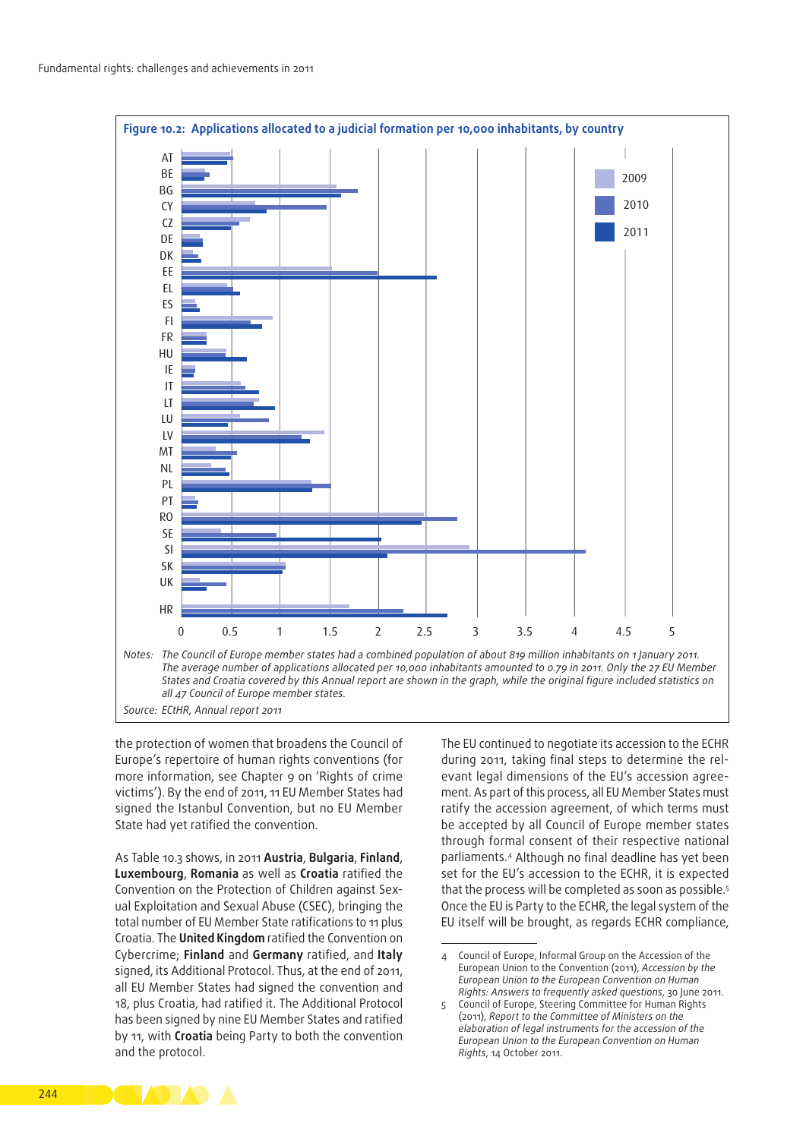

the protection of women that broadens the Council of Europe's repertoire of human rights conventions (for more information, see Chapter 9 on 'Rights of crime victims'). By the end of 2011, 11 EU Member States had signed the Istanbul Convention, but no EU Member State had yet ratified the convention.

As Table 10.3 shows, in 2011 **Austria**, **Bulgaria**, **Finland**, **Luxembourg**, **Romania** as well as **Croatia** ratified the Convention on the Protection of Children against Sexual Exploitation and Sexual Abuse (CSEC), bringing the total number of EU Member State ratifications to 11 plus Croatia. The **United Kingdom** ratified the Convention on Cybercrime; **Finland** and **Germany** ratified, and **Italy** signed, its Additional Protocol. Thus, at the end of 2011, all EU Member States had signed the convention and 18, plus Croatia, had ratified it. The Additional Protocol has been signed by nine EU Member States and ratified by 11, with **Croatia** being Party to both the convention and the protocol.

The EU continued to negotiate its accession to the ECHR during 2011, taking final steps to determine the relevant legal dimensions of the EU's accession agreement. As part of this process, all EU Member States must ratify the accession agreement, of which terms must be accepted by all Council of Europe member states through formal consent of their respective national parliaments.4 Although no final deadline has yet been set for the EU's accession to the ECHR, it is expected that the process will be completed as soon as possible.<sup>5</sup> Once the EU is Party to the ECHR, the legal system of the EU itself will be brought, as regards ECHR compliance,



<sup>4</sup> Council of Europe, Informal Group on the Accession of the European Union to the Convention (2011), *Accession by the European Union to the European Convention on Human Rights: Answers to frequently asked questions*, 30 June 2011.

<sup>5</sup> Council of Europe, Steering Committee for Human Rights (2011), *Report to the Committee of Ministers on the elaboration of legal instruments for the accession of the European Union to the European Convention on Human Rights*, 14 October 2011.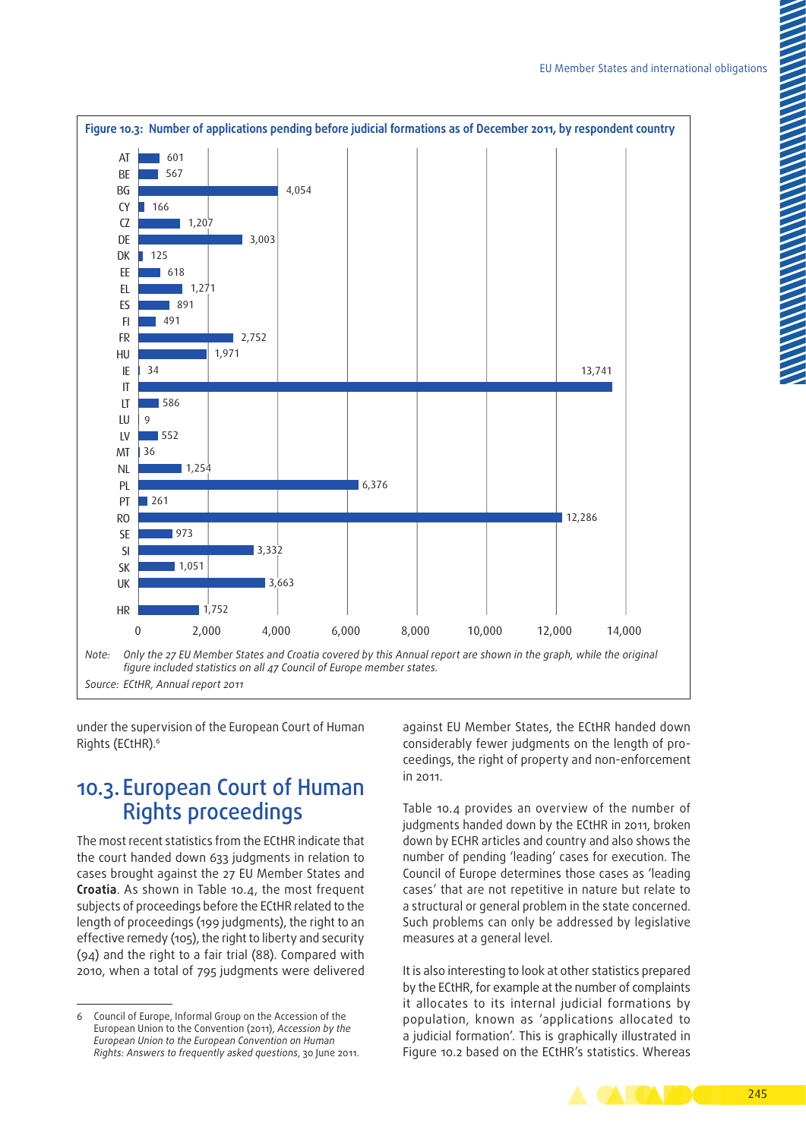

under the supervision of the European Court of Human Rights (ECtHR).6

## 10.3. European Court of Human Rights proceedings

The most recent statistics from the ECtHR indicate that the court handed down 633 judgments in relation to cases brought against the 27 EU Member States and **Croatia**. As shown in Table 10.4, the most frequent subjects of proceedings before the ECtHR related to the length of proceedings (199 judgments), the right to an effective remedy (105), the right to liberty and security (94) and the right to a fair trial (88). Compared with 2010, when a total of 795 judgments were delivered

against EU Member States, the ECtHR handed down considerably fewer judgments on the length of proceedings, the right of property and non‑enforcement in 2011.

Table 10.4 provides an overview of the number of judgments handed down by the ECtHR in 2011, broken down by ECHR articles and country and also shows the number of pending 'leading' cases for execution. The Council of Europe determines those cases as 'leading cases' that are not repetitive in nature but relate to a structural or general problem in the state concerned. Such problems can only be addressed by legislative measures at a general level.

It is also interesting to look at other statistics prepared by the ECtHR, for example at the number of complaints it allocates to its internal judicial formations by population, known as 'applications allocated to a judicial formation'. This is graphically illustrated in Figure 10.2 based on the ECtHR's statistics. Whereas



<sup>6</sup> Council of Europe, Informal Group on the Accession of the European Union to the Convention (2011), *Accession by the European Union to the European Convention on Human Rights: Answers to frequently asked questions*, 30 June 2011.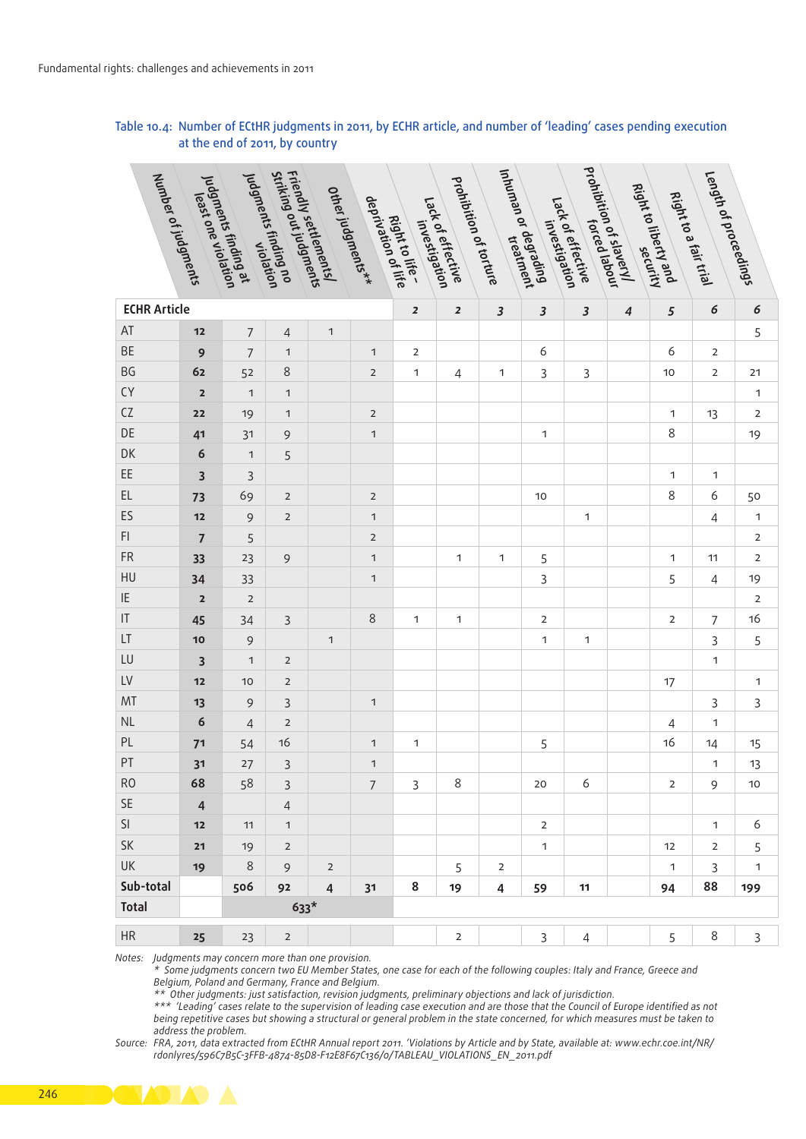#### Table 10.4: Number of ECtHR judgments in 2011, by ECHR article, and number of 'leading' cases pending execution at the end of 2011, by country

|                            |                                                                |                      |                         | Friendly settlements <br>Friendly settlements<br>Striking out judgments |                   |                                  |                   |                         | Inhuman or degratment<br>Inhuman or degratment |                         | prohibition of slaveryl<br>prohibition of slabour |                      | Length of proceedings |                         |
|----------------------------|----------------------------------------------------------------|----------------------|-------------------------|-------------------------------------------------------------------------|-------------------|----------------------------------|-------------------|-------------------------|------------------------------------------------|-------------------------|---------------------------------------------------|----------------------|-----------------------|-------------------------|
| Number of judgments        | yudgments finding at<br>yudgments finding<br>yudgments finding | Judgments finding no |                         |                                                                         | Other judgments** | Right to life-<br>Right to filte |                   | prohibition of torture  |                                                |                         |                                                   | Right to liberty and | Right to a fair trial |                         |
|                            |                                                                |                      |                         |                                                                         |                   |                                  | Lack of effective |                         |                                                | Lack of effective       |                                                   |                      |                       |                         |
|                            |                                                                |                      |                         |                                                                         |                   |                                  | investigation     |                         |                                                | investigation           |                                                   |                      |                       |                         |
|                            |                                                                |                      |                         |                                                                         |                   |                                  |                   |                         |                                                |                         |                                                   | security             |                       |                         |
|                            |                                                                |                      |                         |                                                                         |                   |                                  |                   |                         |                                                |                         |                                                   |                      |                       |                         |
| <b>ECHR Article</b>        |                                                                |                      |                         |                                                                         |                   | $\overline{2}$                   | $\boldsymbol{z}$  | $\overline{\mathbf{3}}$ | $\overline{\mathbf{3}}$                        | $\overline{\mathbf{3}}$ | $\boldsymbol{4}$                                  | 5                    | 6                     | $\epsilon$              |
| AT                         | $12$                                                           | $\overline{7}$       | Δ                       | $\overline{1}$                                                          |                   |                                  |                   |                         |                                                |                         |                                                   |                      |                       | 5                       |
| BE                         | 9                                                              | 7                    |                         |                                                                         | $\mathbf{1}$      | $\overline{2}$                   |                   |                         | 6                                              |                         |                                                   | 6                    | $\overline{2}$        |                         |
| $\mathsf{B}\mathsf{G}$     | 62                                                             | 52                   | 8                       |                                                                         | $\overline{2}$    | $\mathbf{1}$                     | $\overline{4}$    | -1                      | $\overline{3}$                                 | $\overline{3}$          |                                                   | 10 <sub>1</sub>      | $\overline{2}$        | 21                      |
| CY                         | $\overline{\mathbf{2}}$                                        | $\overline{1}$       | $\overline{1}$          |                                                                         |                   |                                  |                   |                         |                                                |                         |                                                   |                      |                       | $\mathbf{1}$            |
| ${\sf CZ}$                 | $\mathbf{22}$                                                  | 19                   | $\mathbf{1}$            |                                                                         | $\overline{2}$    |                                  |                   |                         |                                                |                         |                                                   | $\mathbf{1}$         | 13                    | $\overline{2}$          |
| $\mathsf{DE}% _{T}$        | 41                                                             | 31                   | 9                       |                                                                         | $\mathbf{1}$      |                                  |                   |                         | $\mathbf{1}$                                   |                         |                                                   | 8                    |                       | 19                      |
| DK                         | 6                                                              | $\mathbf{1}$         | 5                       |                                                                         |                   |                                  |                   |                         |                                                |                         |                                                   |                      |                       |                         |
| EE                         | $\overline{\mathbf{3}}$                                        | $\overline{3}$       |                         |                                                                         |                   |                                  |                   |                         |                                                |                         |                                                   | $\mathbf{1}$         | $\overline{1}$        |                         |
| $\mathsf{EL}$              | 73                                                             | 69                   | $\overline{2}$          |                                                                         | $\overline{2}$    |                                  |                   |                         | 10                                             |                         |                                                   | 8                    | 6                     | 50                      |
| ES                         | $12$                                                           | 9                    | $\overline{2}$          |                                                                         | $\mathbf{1}$      |                                  |                   |                         |                                                | $\overline{1}$          |                                                   |                      | $\overline{4}$        | $\overline{1}$          |
| $\mathsf{FI}$              | $\overline{7}$                                                 | 5                    |                         |                                                                         | $\overline{2}$    |                                  |                   |                         |                                                |                         |                                                   |                      |                       | $\overline{2}$          |
| ${\sf FR}$                 | 33                                                             | 23                   | 9                       |                                                                         | $\mathbf{1}$      |                                  | $\mathbf{1}$      | $\mathbf{1}$            | 5                                              |                         |                                                   | $\mathbf{1}$         | 11                    | $\overline{2}$          |
| ${\sf H}{\sf U}$           | 34                                                             | 33                   |                         |                                                                         | $\mathbf{1}$      |                                  |                   |                         | $\mathsf{3}$                                   |                         |                                                   | 5                    | $\overline{4}$        | 19                      |
| $\ensuremath{\mathsf{IE}}$ | $\overline{\mathbf{2}}$                                        | $\overline{2}$       |                         |                                                                         |                   |                                  |                   |                         |                                                |                         |                                                   |                      |                       | $\overline{2}$          |
| $ \mathsf{T} $             | 45                                                             | 34                   | $\overline{\mathbf{3}}$ |                                                                         | 8                 | $\mathbf{1}$                     | $\mathbf{1}$      |                         | $\overline{2}$                                 |                         |                                                   | $\overline{2}$       | $\overline{7}$        | 16                      |
| LT                         | $10$                                                           | 9                    |                         | $\overline{1}$                                                          |                   |                                  |                   |                         | $\mathbf{1}$                                   | $\overline{1}$          |                                                   |                      | $\overline{3}$        | 5                       |
| ${\sf LU}$                 | $\overline{\mathbf{3}}$                                        | $\mathbf{1}$         | $\overline{2}$          |                                                                         |                   |                                  |                   |                         |                                                |                         |                                                   |                      | $\mathbf{1}$          |                         |
| ${\sf L}{\sf V}$           | $12$                                                           | 10 <sup>°</sup>      | $\overline{2}$          |                                                                         |                   |                                  |                   |                         |                                                |                         |                                                   | 17                   |                       | $\overline{1}$          |
| MT                         | 13                                                             | 9                    | $\overline{3}$          |                                                                         | $\mathbf{1}$      |                                  |                   |                         |                                                |                         |                                                   |                      | $\overline{3}$        | $\overline{\mathbf{3}}$ |
| $\mathsf{NL}\xspace$       | 6                                                              | $\overline{4}$       | $\overline{2}$          |                                                                         |                   |                                  |                   |                         |                                                |                         |                                                   | 4                    | $\overline{1}$        |                         |
| $\mathsf{PL}$              | 71                                                             | 54                   | 16                      |                                                                         | $\overline{1}$    | $\overline{1}$                   |                   |                         | 5                                              |                         |                                                   | 16                   | 14                    | 15                      |
| PT                         | 31                                                             | 27                   | $\overline{3}$          |                                                                         | $\mathbf{1}$      |                                  |                   |                         |                                                |                         |                                                   |                      | $\overline{1}$        | 13                      |
| RO                         | 68                                                             | 58                   | $\overline{3}$          |                                                                         | $7^{\circ}$       | $\overline{3}$                   | 8                 |                         | 20                                             | 6                       |                                                   | 2                    | 9                     | $10$                    |
| $\ensuremath{\mathsf{SE}}$ | $\overline{4}$                                                 |                      | $\overline{4}$          |                                                                         |                   |                                  |                   |                         |                                                |                         |                                                   |                      |                       |                         |
| $\mathsf{SI}$              | $12$                                                           | 11                   | $\overline{1}$          |                                                                         |                   |                                  |                   |                         | $\overline{2}$                                 |                         |                                                   |                      | $\mathbf{1}$          | 6                       |
| SK                         | $21$                                                           | 19                   | $\overline{2}$          |                                                                         |                   |                                  |                   |                         | $\mathbf{1}$                                   |                         |                                                   | 12                   | $\overline{2}$        | 5                       |
| UK                         | 19                                                             | $8\phantom{1}$       | 9                       | $\overline{\mathbf{2}}$                                                 |                   |                                  | 5                 | $\overline{2}$          |                                                |                         |                                                   | $\mathbf{1}$         | $\overline{3}$        | $\overline{1}$          |
| Sub-total                  |                                                                | 506                  | 92                      | $\overline{4}$                                                          | 31                | 8                                | 19                | 4                       | 59                                             | 11                      |                                                   | 94                   | 88                    | 199                     |
| Total                      |                                                                |                      | $633*$                  |                                                                         |                   |                                  |                   |                         |                                                |                         |                                                   |                      |                       |                         |
| HR                         | 25                                                             | 23                   | $\overline{2}$          |                                                                         |                   |                                  | $\overline{2}$    |                         | 3 <sup>7</sup>                                 | $\overline{4}$          |                                                   | 5 <sup>7</sup>       | 8                     | $\overline{3}$          |
|                            |                                                                |                      |                         |                                                                         |                   |                                  |                   |                         |                                                |                         |                                                   |                      |                       |                         |

*Notes: Judgments may concern more than one provision.*

*\* Some judgments concern two EU Member States, one case for each of the following couples: Italy and France, Greece and Belgium, Poland and Germany, France and Belgium.*

*\*\* Other judgments: just satisfaction, revision judgments, preliminary objections and lack of jurisdiction.*

*\*\*\* 'Leading' cases relate to the supervision of leading case execution and are those that the Council of Europe identified as not being repetitive cases but showing a structural or general problem in the state concerned, for which measures must be taken to address the problem.*

*Source: FRA, 2011, data extracted from ECtHR Annual report 2011. 'Violations by Article and by State, available at: [www.echr.coe.int/NR/](http://www.echr.coe.int/NR/rdonlyres/596C7B5C-3FFB-4874-85D8-F12E8F67C136/0/TABLEAU_VIOLATIONS_EN_2011.pdf) [rdonlyres/596C7B5C-3FFB-4874-85D8-F12E8F67C136/0/TABLEAU\\_VIOLATIONS\\_EN\\_2011.pdf](http://www.echr.coe.int/NR/rdonlyres/596C7B5C-3FFB-4874-85D8-F12E8F67C136/0/TABLEAU_VIOLATIONS_EN_2011.pdf)*

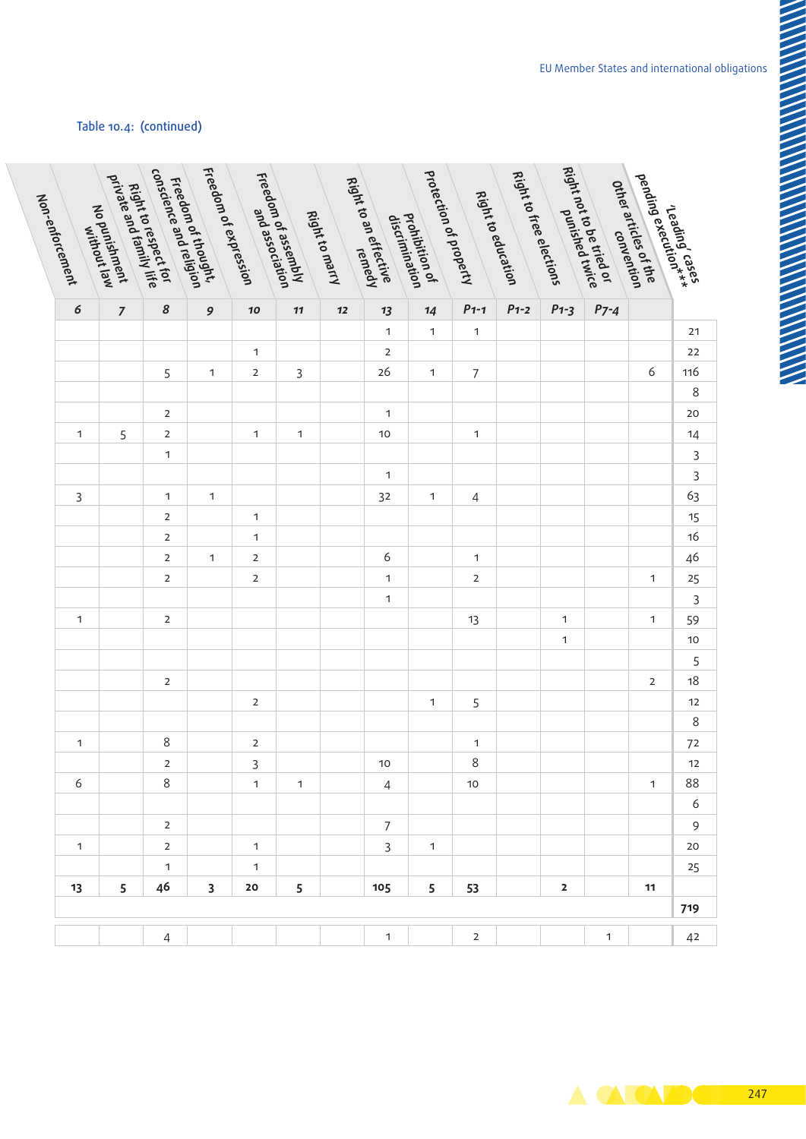### Table 10.4: (continued)

|                | pending execution***<br>- reading ition***<br>pending execution | Right not to be rited or<br>Right not to be detailed | Right to free elections |                | protection of property                          |                                                |                |                | Freedom of assembly<br>Freedom and association | Freedom of expression<br>Freedom of expression | Freedom of thought,<br>Freedom of theligion<br>conscience and religion | Right to respect for<br>Right to respect life |                 |
|----------------|-----------------------------------------------------------------|------------------------------------------------------|-------------------------|----------------|-------------------------------------------------|------------------------------------------------|----------------|----------------|------------------------------------------------|------------------------------------------------|------------------------------------------------------------------------|-----------------------------------------------|-----------------|
|                | Other articles of the<br>Other articles of the                  |                                                      | Right to education      |                |                                                 | Right to an effective<br>Right to an effective | Right to marry |                |                                                |                                                |                                                                        | No punishment<br>Mo punishment<br>Mithout law | Non-enforcement |
|                |                                                                 |                                                      |                         |                | prohibition of<br>Prohibition<br>discrimination |                                                |                |                |                                                |                                                |                                                                        |                                               |                 |
|                |                                                                 |                                                      |                         |                |                                                 |                                                |                |                |                                                |                                                |                                                                        |                                               |                 |
|                | $P7 - 4$                                                        | $P1-3$                                               | $P1-2$                  | $P1-1$         | 14                                              | 13                                             | $\bf 12$       | $\bf 11$       | $\boldsymbol{\mathit{10}}$                     | 9                                              | $\pmb{8}$                                                              | $\overline{7}$                                | $\epsilon$      |
| 21             |                                                                 |                                                      |                         | $\overline{1}$ | $\mathbf{1}$                                    | $\mathbf{1}$                                   |                |                |                                                |                                                |                                                                        |                                               |                 |
| $22\,$         |                                                                 |                                                      |                         |                |                                                 | $\overline{2}$                                 |                |                | $\mathbf{1}$                                   |                                                |                                                                        |                                               |                 |
| 116            | 6                                                               |                                                      |                         | $\overline{7}$ | $\mathbf{1}$                                    | 26                                             |                | $\mathsf{3}$   | $\overline{2}$                                 | $\mathbf{1}$                                   | 5                                                                      |                                               |                 |
| $\,8\,$        |                                                                 |                                                      |                         |                |                                                 |                                                |                |                |                                                |                                                |                                                                        |                                               |                 |
| 20             |                                                                 |                                                      |                         |                |                                                 | $\mathbf{1}$                                   |                |                |                                                |                                                | $\overline{2}$                                                         |                                               |                 |
| 14             |                                                                 |                                                      |                         | $\overline{1}$ |                                                 | $10$                                           |                | $\overline{1}$ | $\overline{1}$                                 |                                                | $\overline{2}$                                                         | 5                                             | $\overline{1}$  |
| $\overline{3}$ |                                                                 |                                                      |                         |                |                                                 |                                                |                |                |                                                |                                                | $\mathbf{1}$                                                           |                                               |                 |
| $\overline{3}$ |                                                                 |                                                      |                         |                |                                                 | $\mathbf{1}$                                   |                |                |                                                |                                                |                                                                        |                                               |                 |
| 63             |                                                                 |                                                      |                         | $\overline{4}$ | $\mathbf{1}$                                    | 32                                             |                |                |                                                | $\mathbf{1}$                                   | $\mathbf{1}$                                                           |                                               | $\mathsf{3}$    |
| $15$           |                                                                 |                                                      |                         |                |                                                 |                                                |                |                | $\mathbf{1}$                                   |                                                | $\overline{2}$                                                         |                                               |                 |
| $16$           |                                                                 |                                                      |                         |                |                                                 |                                                |                |                | $\mathbf{1}$                                   |                                                | $\overline{2}$                                                         |                                               |                 |
| 46             |                                                                 |                                                      |                         | $\overline{1}$ |                                                 | 6                                              |                |                | $\overline{2}$                                 | $\mathbf{1}$                                   | $\overline{2}$                                                         |                                               |                 |
| $25\,$         | $\mathbf{1}$                                                    |                                                      |                         | $\overline{2}$ |                                                 | $\mathbf{1}$                                   |                |                | $\overline{2}$                                 |                                                | $\overline{2}$                                                         |                                               |                 |
| $\overline{3}$ |                                                                 |                                                      |                         |                |                                                 | $\mathbf{1}$                                   |                |                |                                                |                                                |                                                                        |                                               |                 |
| 59             | $\mathbf{1}$                                                    | $\mathbf{1}$                                         |                         | 13             |                                                 |                                                |                |                |                                                |                                                | $\overline{2}$                                                         |                                               | $\overline{1}$  |
| $10$           |                                                                 | $\mathbf{1}$                                         |                         |                |                                                 |                                                |                |                |                                                |                                                |                                                                        |                                               |                 |
| $\overline{5}$ |                                                                 |                                                      |                         |                |                                                 |                                                |                |                |                                                |                                                |                                                                        |                                               |                 |
| $18$           | $\overline{2}$                                                  |                                                      |                         |                |                                                 |                                                |                |                |                                                |                                                | $\overline{2}$                                                         |                                               |                 |
| 12             |                                                                 |                                                      |                         | 5              | $\mathbf{1}$                                    |                                                |                |                | $\overline{2}$                                 |                                                |                                                                        |                                               |                 |
| $\,8\,$        |                                                                 |                                                      |                         |                |                                                 |                                                |                |                |                                                |                                                |                                                                        |                                               |                 |
| $72\,$         |                                                                 |                                                      |                         | $\overline{1}$ |                                                 |                                                |                |                | $\overline{2}$                                 |                                                | 8                                                                      |                                               | $\overline{1}$  |
| 12             |                                                                 |                                                      |                         | $\,8\,$        |                                                 | $10$                                           |                |                | $\overline{3}$                                 |                                                | $\overline{2}$                                                         |                                               |                 |
| 88             | $\mathbf{1}$                                                    |                                                      |                         | $10$           |                                                 | $\overline{4}$                                 |                | $\overline{1}$ | $\overline{1}$                                 |                                                | 8                                                                      |                                               | 6               |
| 6              |                                                                 |                                                      |                         |                |                                                 |                                                |                |                |                                                |                                                |                                                                        |                                               |                 |
| 9              |                                                                 |                                                      |                         |                |                                                 | $7\overline{ }$                                |                |                |                                                |                                                | $\overline{2}$                                                         |                                               | $\overline{1}$  |
| $20\,$         |                                                                 |                                                      |                         |                | $\mathbf{1}$                                    | $\overline{3}$                                 |                |                | $\overline{1}$                                 |                                                | $\overline{2}$                                                         |                                               |                 |
| 25             |                                                                 |                                                      |                         |                |                                                 |                                                |                |                | $\mathbf{1}$                                   |                                                | $\mathbf{1}$                                                           |                                               |                 |
|                | 11                                                              | $\overline{\mathbf{2}}$                              |                         | 53             | $5\overline{)}$                                 | 105                                            |                | 5 <sup>5</sup> | 20                                             | $\overline{\mathbf{3}}$                        | 46                                                                     | 5                                             | 13              |
| 719            |                                                                 |                                                      |                         |                |                                                 |                                                |                |                |                                                |                                                |                                                                        |                                               |                 |
| 42             | $\mathbf{1}$                                                    |                                                      |                         | $\overline{2}$ |                                                 | $\mathbf{1}$                                   |                |                |                                                |                                                | $\overline{4}$                                                         |                                               |                 |
|                |                                                                 |                                                      |                         |                |                                                 |                                                |                |                |                                                |                                                |                                                                        |                                               |                 |

 $\blacktriangle$   $\blacktriangle$   $\blacklozenge$ 247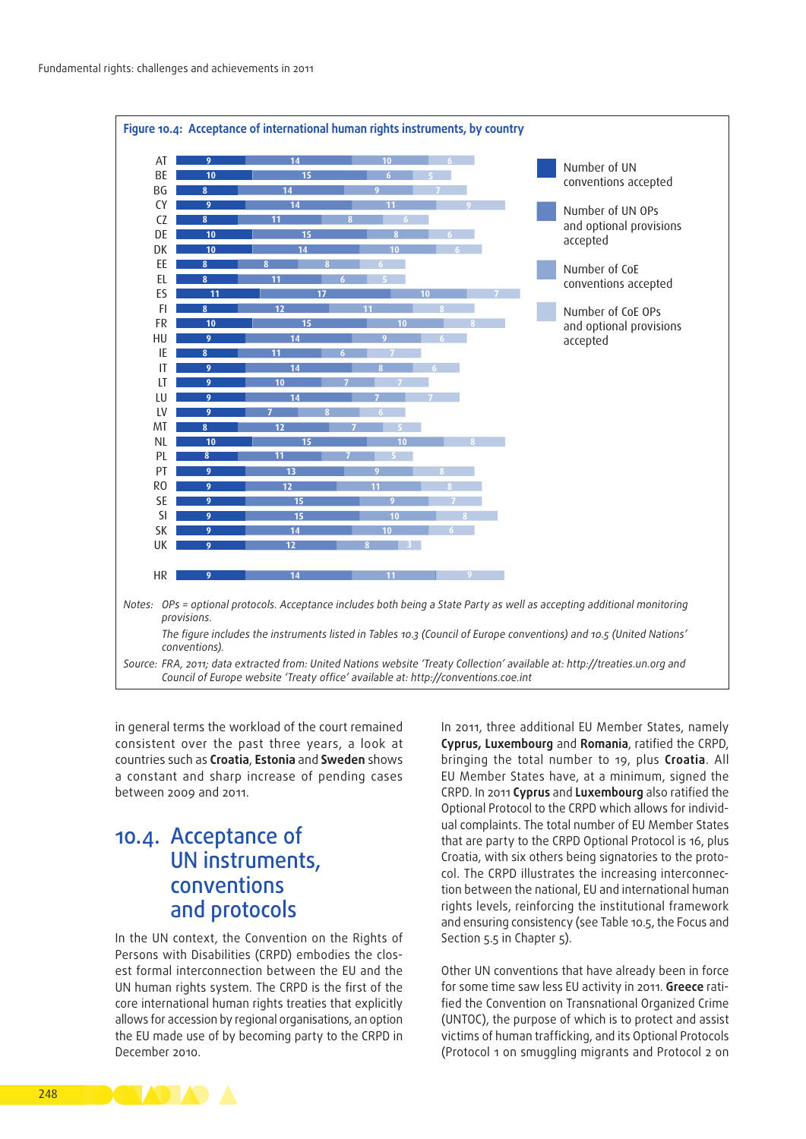

in general terms the workload of the court remained consistent over the past three years, a look at countries such as **Croatia**, **Estonia** and **Sweden** shows a constant and sharp increase of pending cases between 2009 and 2011.

# 10.4. Acceptance of UN instruments, conventions and protocols

In the UN context, the Convention on the Rights of Persons with Disabilities (CRPD) embodies the closest formal interconnection between the EU and the UN human rights system. The CRPD is the first of the core international human rights treaties that explicitly allows for accession by regional organisations, an option the EU made use of by becoming party to the CRPD in December 2010.

In 2011, three additional EU Member States, namely **Cyprus, Luxembourg** and **Romania**, ratified the CRPD, bringing the total number to 19, plus **Croatia**. All EU Member States have, at a minimum, signed the CRPD. In 2011 **Cyprus** and **Luxembourg** also ratified the Optional Protocol to the CRPD which allows for individual complaints. The total number of EU Member States that are party to the CRPD Optional Protocol is 16, plus Croatia, with six others being signatories to the protocol. The CRPD illustrates the increasing interconnection between the national, EU and international human rights levels, reinforcing the institutional framework and ensuring consistency (see Table 10.5, the Focus and Section 5.5 in Chapter 5).

Other UN conventions that have already been in force for some time saw less EU activity in 2011. Greece ratified the Convention on Transnational Organized Crime (UNTOC), the purpose of which is to protect and assist victims of human trafficking, and its Optional Protocols (Protocol 1 on smuggling migrants and Protocol 2 on

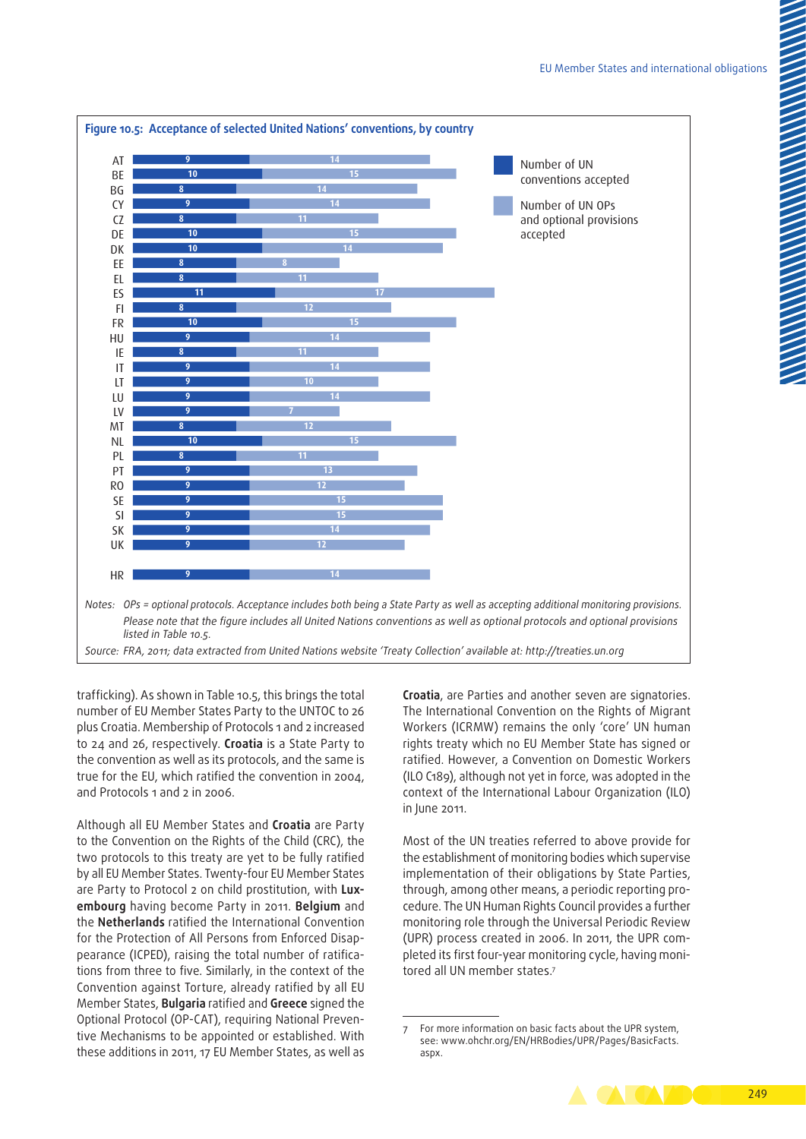

trafficking). As shown in Table 10.5, this brings the total number of EU Member States Party to the UNTOC to 26 plus Croatia. Membership of Protocols 1 and 2 increased to 24 and 26, respectively. **Croatia** is a State Party to the convention as well as its protocols, and the same is true for the EU, which ratified the convention in 2004, and Protocols 1 and 2 in 2006.

Although all EU Member States and **Croatia** are Party to the Convention on the Rights of the Child (CRC), the two protocols to this treaty are yet to be fully ratified by all EU Member States. Twenty‑four EU Member States are Party to Protocol 2 on child prostitution, with **Lux‑ embourg** having become Party in 2011. **Belgium** and the **Netherlands** ratified the International Convention for the Protection of All Persons from Enforced Disappearance (ICPED), raising the total number of ratifications from three to five. Similarly, in the context of the Convention against Torture, already ratified by all EU Member States, **Bulgaria** ratified and **Greece** signed the Optional Protocol (OP-CAT), requiring National Preventive Mechanisms to be appointed or established. With these additions in 2011, 17 EU Member States, as well as **Croatia**, are Parties and another seven are signatories. The International Convention on the Rights of Migrant Workers (ICRMW) remains the only 'core' UN human rights treaty which no EU Member State has signed or ratified. However, a Convention on Domestic Workers (ILO C189), although not yet in force, was adopted in the context of the International Labour Organization (ILO) in June 2011.

Most of the UN treaties referred to above provide for the establishment of monitoring bodies which supervise implementation of their obligations by State Parties, through, among other means, a periodic reporting procedure. The UN Human Rights Council provides a further monitoring role through the Universal Periodic Review (UPR) process created in 2006. In 2011, the UPR completed its first four-year monitoring cycle, having monitored all UN member states.7

<sup>7</sup> For more information on basic facts about the UPR system, see: [www.ohchr.org/EN/HRBodies/UPR/Pages/BasicFacts.](http://www.ohchr.org/EN/HRBodies/UPR/Pages/BasicFacts.aspx) [aspx](http://www.ohchr.org/EN/HRBodies/UPR/Pages/BasicFacts.aspx).

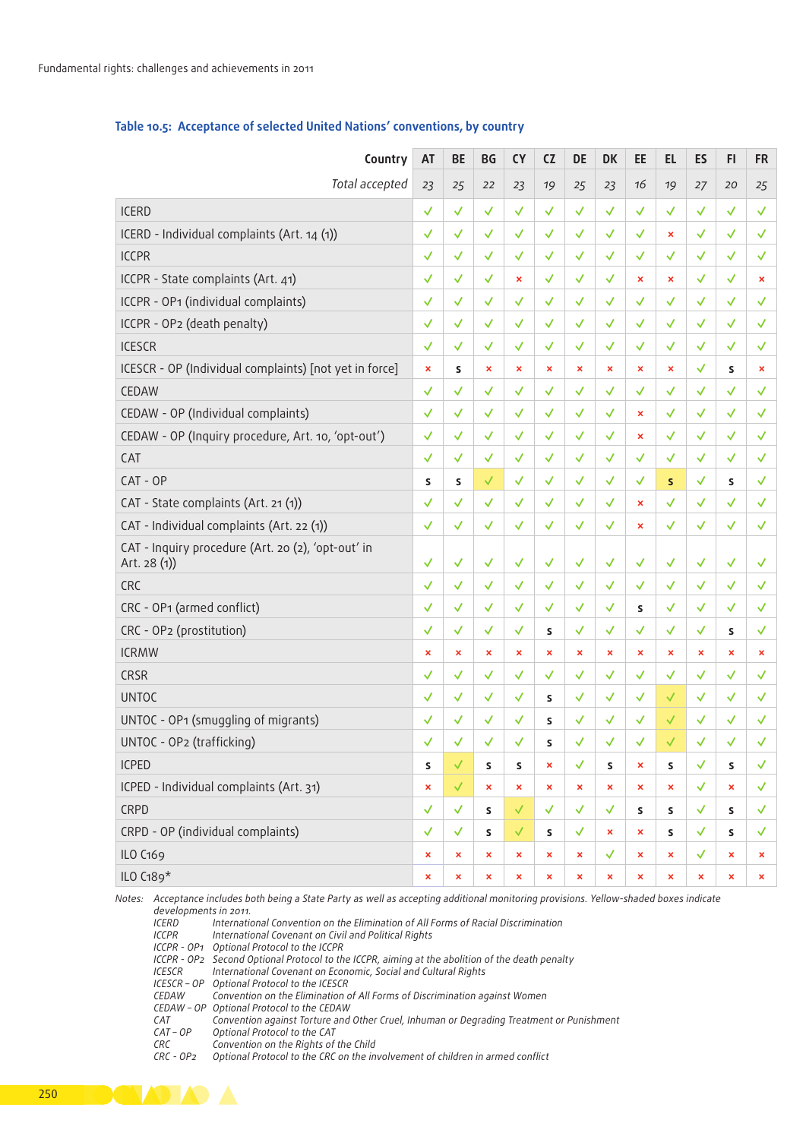| Total accepted<br>23<br>25<br>27<br>22<br>23<br>23<br>20<br>25<br>19<br>25<br>16<br>ICERD<br>$\checkmark$<br>✓<br>√<br>ICERD - Individual complaints (Art. 14 (1))<br>$\checkmark$<br>$\boldsymbol{\mathsf{x}}$<br>ICCPR<br>$\checkmark$<br>✓<br>✓<br>ICCPR - State complaints (Art. 41)<br>$\checkmark$<br>$\boldsymbol{\mathsf{x}}$<br>$\boldsymbol{\mathsf{x}}$<br>✓<br>ICCPR - OP1 (individual complaints)<br>$\checkmark$<br>$\checkmark$<br>$\sqrt{ }$<br>ICCPR - OP2 (death penalty)<br>$\checkmark$<br>ICESCR<br>$\checkmark$<br>✓<br>ICESCR - OP (Individual complaints) [not yet in force]<br>$\mathbf{x}$<br>$\mathsf{s}$<br>$\boldsymbol{\mathsf{x}}$<br>$\boldsymbol{\mathsf{x}}$<br>$\mathsf{s}$<br>$\boldsymbol{\mathsf{x}}$<br>$\boldsymbol{\mathsf{x}}$<br>$\checkmark$<br>CEDAW<br>$\checkmark$<br>✓<br>√<br>CEDAW - OP (Individual complaints)<br>$\checkmark$<br>$\checkmark$<br>$\boldsymbol{\mathsf{x}}$<br>CEDAW - OP (Inquiry procedure, Art. 10, 'opt-out')<br>$\checkmark$<br>✓<br>$\boldsymbol{\mathsf{x}}$<br>$\checkmark$<br>CAT<br>√<br>CAT - OP<br>S<br>S<br>$\mathsf{s}$<br>$\mathsf{s}$<br>CAT - State complaints (Art. 21(1))<br>$\checkmark$<br>$\checkmark$<br>$\checkmark$<br>$\pmb{\times}$<br>CAT - Individual complaints (Art. 22 (1))<br>$\checkmark$<br>$\checkmark$<br>$\checkmark$<br>$\checkmark$<br>$\blacktriangledown$<br>✓<br>$\pmb{\times}$<br>CAT - Inquiry procedure (Art. 20 (2), 'opt-out' in<br>$\sqrt{2}$<br>Art. 28 (1))<br>$\checkmark$<br>$\checkmark$<br>$\checkmark$<br>$\checkmark$<br>✓<br>$\checkmark$<br>$\checkmark$<br>$\checkmark$<br>$\checkmark$<br>CRC<br>$\checkmark$<br>$\checkmark$<br>$\checkmark$<br>$\checkmark$<br>$\checkmark$<br>√<br>$\checkmark$<br>$\checkmark$<br>√<br>CRC - OP1 (armed conflict)<br>$\checkmark$<br>s<br>CRC - OP2 (prostitution)<br>$\checkmark$<br>✓<br>✓<br>$\mathsf{s}$<br>$\mathsf{s}$<br><b>ICRMW</b><br>$\mathbf{x}$<br>×<br>$\boldsymbol{\mathsf{x}}$<br>$\boldsymbol{\mathsf{x}}$<br>$\pmb{\times}$<br>$\boldsymbol{\mathsf{x}}$<br>$\boldsymbol{\mathsf{x}}$<br>$\boldsymbol{\mathsf{x}}$<br>$\boldsymbol{\mathsf{x}}$<br>$\boldsymbol{\mathsf{x}}$<br>$\boldsymbol{\mathsf{x}}$<br>CRSR<br>$\checkmark$<br>✓<br>✓<br>√<br>√<br><b>UNTOC</b><br>$\checkmark$<br>$\mathsf{s}$<br>UNTOC - OP1 (smuggling of migrants)<br>$\checkmark$<br>S<br>UNTOC - OP2 (trafficking)<br>$\checkmark$<br>✓<br><b>S</b><br>√<br><b>ICPED</b><br>$\mathsf S$<br>$\mathsf{s}$<br>S<br>$\pmb{\times}$<br>√<br>$\mathsf{s}$<br>$\pmb{\times}$<br>$\mathsf S$<br>$\mathsf{s}$<br>ICPED - Individual complaints (Art. 31)<br>$\checkmark$<br>$\mathbf{x}$<br>$\pmb{\times}$<br>$\mathbf{x}$<br>$\pmb{\times}$<br>$\pmb{\times}$<br>$\pmb{\times}$<br>$\pmb{\times}$<br>$\pmb{\times}$<br>$\boldsymbol{\mathsf{x}}$<br>CRPD<br>$\checkmark$<br>$\checkmark$<br>$\mathsf S$<br>$\mathsf{S}$<br>$\mathsf{s}$<br>$\checkmark$<br>$\mathsf{s}$<br>✓ | Country | AT | <b>BE</b> | BG | <b>CY</b> | <b>CZ</b> | DE. | <b>DK</b> | <b>EE</b> | EL | ES | <b>FI</b> | <b>FR</b> |
|----------------------------------------------------------------------------------------------------------------------------------------------------------------------------------------------------------------------------------------------------------------------------------------------------------------------------------------------------------------------------------------------------------------------------------------------------------------------------------------------------------------------------------------------------------------------------------------------------------------------------------------------------------------------------------------------------------------------------------------------------------------------------------------------------------------------------------------------------------------------------------------------------------------------------------------------------------------------------------------------------------------------------------------------------------------------------------------------------------------------------------------------------------------------------------------------------------------------------------------------------------------------------------------------------------------------------------------------------------------------------------------------------------------------------------------------------------------------------------------------------------------------------------------------------------------------------------------------------------------------------------------------------------------------------------------------------------------------------------------------------------------------------------------------------------------------------------------------------------------------------------------------------------------------------------------------------------------------------------------------------------------------------------------------------------------------------------------------------------------------------------------------------------------------------------------------------------------------------------------------------------------------------------------------------------------------------------------------------------------------------------------------------------------------------------------------------------------------------------------------------------------------------------------------------------------------------------------------------------------------------------------------------------------------------------------------------------------------------------------------------------------------------------------------------------------------------------------------------------------------------------------------------------------------------------------|---------|----|-----------|----|-----------|-----------|-----|-----------|-----------|----|----|-----------|-----------|
|                                                                                                                                                                                                                                                                                                                                                                                                                                                                                                                                                                                                                                                                                                                                                                                                                                                                                                                                                                                                                                                                                                                                                                                                                                                                                                                                                                                                                                                                                                                                                                                                                                                                                                                                                                                                                                                                                                                                                                                                                                                                                                                                                                                                                                                                                                                                                                                                                                                                                                                                                                                                                                                                                                                                                                                                                                                                                                                                        |         |    |           |    |           |           |     |           |           |    |    |           |           |
|                                                                                                                                                                                                                                                                                                                                                                                                                                                                                                                                                                                                                                                                                                                                                                                                                                                                                                                                                                                                                                                                                                                                                                                                                                                                                                                                                                                                                                                                                                                                                                                                                                                                                                                                                                                                                                                                                                                                                                                                                                                                                                                                                                                                                                                                                                                                                                                                                                                                                                                                                                                                                                                                                                                                                                                                                                                                                                                                        |         |    |           |    |           |           |     |           |           |    |    |           |           |
|                                                                                                                                                                                                                                                                                                                                                                                                                                                                                                                                                                                                                                                                                                                                                                                                                                                                                                                                                                                                                                                                                                                                                                                                                                                                                                                                                                                                                                                                                                                                                                                                                                                                                                                                                                                                                                                                                                                                                                                                                                                                                                                                                                                                                                                                                                                                                                                                                                                                                                                                                                                                                                                                                                                                                                                                                                                                                                                                        |         |    |           |    |           |           |     |           |           |    |    |           |           |
|                                                                                                                                                                                                                                                                                                                                                                                                                                                                                                                                                                                                                                                                                                                                                                                                                                                                                                                                                                                                                                                                                                                                                                                                                                                                                                                                                                                                                                                                                                                                                                                                                                                                                                                                                                                                                                                                                                                                                                                                                                                                                                                                                                                                                                                                                                                                                                                                                                                                                                                                                                                                                                                                                                                                                                                                                                                                                                                                        |         |    |           |    |           |           |     |           |           |    |    |           |           |
|                                                                                                                                                                                                                                                                                                                                                                                                                                                                                                                                                                                                                                                                                                                                                                                                                                                                                                                                                                                                                                                                                                                                                                                                                                                                                                                                                                                                                                                                                                                                                                                                                                                                                                                                                                                                                                                                                                                                                                                                                                                                                                                                                                                                                                                                                                                                                                                                                                                                                                                                                                                                                                                                                                                                                                                                                                                                                                                                        |         |    |           |    |           |           |     |           |           |    |    |           |           |
|                                                                                                                                                                                                                                                                                                                                                                                                                                                                                                                                                                                                                                                                                                                                                                                                                                                                                                                                                                                                                                                                                                                                                                                                                                                                                                                                                                                                                                                                                                                                                                                                                                                                                                                                                                                                                                                                                                                                                                                                                                                                                                                                                                                                                                                                                                                                                                                                                                                                                                                                                                                                                                                                                                                                                                                                                                                                                                                                        |         |    |           |    |           |           |     |           |           |    |    |           |           |
|                                                                                                                                                                                                                                                                                                                                                                                                                                                                                                                                                                                                                                                                                                                                                                                                                                                                                                                                                                                                                                                                                                                                                                                                                                                                                                                                                                                                                                                                                                                                                                                                                                                                                                                                                                                                                                                                                                                                                                                                                                                                                                                                                                                                                                                                                                                                                                                                                                                                                                                                                                                                                                                                                                                                                                                                                                                                                                                                        |         |    |           |    |           |           |     |           |           |    |    |           |           |
|                                                                                                                                                                                                                                                                                                                                                                                                                                                                                                                                                                                                                                                                                                                                                                                                                                                                                                                                                                                                                                                                                                                                                                                                                                                                                                                                                                                                                                                                                                                                                                                                                                                                                                                                                                                                                                                                                                                                                                                                                                                                                                                                                                                                                                                                                                                                                                                                                                                                                                                                                                                                                                                                                                                                                                                                                                                                                                                                        |         |    |           |    |           |           |     |           |           |    |    |           |           |
|                                                                                                                                                                                                                                                                                                                                                                                                                                                                                                                                                                                                                                                                                                                                                                                                                                                                                                                                                                                                                                                                                                                                                                                                                                                                                                                                                                                                                                                                                                                                                                                                                                                                                                                                                                                                                                                                                                                                                                                                                                                                                                                                                                                                                                                                                                                                                                                                                                                                                                                                                                                                                                                                                                                                                                                                                                                                                                                                        |         |    |           |    |           |           |     |           |           |    |    |           |           |
|                                                                                                                                                                                                                                                                                                                                                                                                                                                                                                                                                                                                                                                                                                                                                                                                                                                                                                                                                                                                                                                                                                                                                                                                                                                                                                                                                                                                                                                                                                                                                                                                                                                                                                                                                                                                                                                                                                                                                                                                                                                                                                                                                                                                                                                                                                                                                                                                                                                                                                                                                                                                                                                                                                                                                                                                                                                                                                                                        |         |    |           |    |           |           |     |           |           |    |    |           |           |
|                                                                                                                                                                                                                                                                                                                                                                                                                                                                                                                                                                                                                                                                                                                                                                                                                                                                                                                                                                                                                                                                                                                                                                                                                                                                                                                                                                                                                                                                                                                                                                                                                                                                                                                                                                                                                                                                                                                                                                                                                                                                                                                                                                                                                                                                                                                                                                                                                                                                                                                                                                                                                                                                                                                                                                                                                                                                                                                                        |         |    |           |    |           |           |     |           |           |    |    |           |           |
|                                                                                                                                                                                                                                                                                                                                                                                                                                                                                                                                                                                                                                                                                                                                                                                                                                                                                                                                                                                                                                                                                                                                                                                                                                                                                                                                                                                                                                                                                                                                                                                                                                                                                                                                                                                                                                                                                                                                                                                                                                                                                                                                                                                                                                                                                                                                                                                                                                                                                                                                                                                                                                                                                                                                                                                                                                                                                                                                        |         |    |           |    |           |           |     |           |           |    |    |           |           |
|                                                                                                                                                                                                                                                                                                                                                                                                                                                                                                                                                                                                                                                                                                                                                                                                                                                                                                                                                                                                                                                                                                                                                                                                                                                                                                                                                                                                                                                                                                                                                                                                                                                                                                                                                                                                                                                                                                                                                                                                                                                                                                                                                                                                                                                                                                                                                                                                                                                                                                                                                                                                                                                                                                                                                                                                                                                                                                                                        |         |    |           |    |           |           |     |           |           |    |    |           |           |
|                                                                                                                                                                                                                                                                                                                                                                                                                                                                                                                                                                                                                                                                                                                                                                                                                                                                                                                                                                                                                                                                                                                                                                                                                                                                                                                                                                                                                                                                                                                                                                                                                                                                                                                                                                                                                                                                                                                                                                                                                                                                                                                                                                                                                                                                                                                                                                                                                                                                                                                                                                                                                                                                                                                                                                                                                                                                                                                                        |         |    |           |    |           |           |     |           |           |    |    |           |           |
|                                                                                                                                                                                                                                                                                                                                                                                                                                                                                                                                                                                                                                                                                                                                                                                                                                                                                                                                                                                                                                                                                                                                                                                                                                                                                                                                                                                                                                                                                                                                                                                                                                                                                                                                                                                                                                                                                                                                                                                                                                                                                                                                                                                                                                                                                                                                                                                                                                                                                                                                                                                                                                                                                                                                                                                                                                                                                                                                        |         |    |           |    |           |           |     |           |           |    |    |           |           |
|                                                                                                                                                                                                                                                                                                                                                                                                                                                                                                                                                                                                                                                                                                                                                                                                                                                                                                                                                                                                                                                                                                                                                                                                                                                                                                                                                                                                                                                                                                                                                                                                                                                                                                                                                                                                                                                                                                                                                                                                                                                                                                                                                                                                                                                                                                                                                                                                                                                                                                                                                                                                                                                                                                                                                                                                                                                                                                                                        |         |    |           |    |           |           |     |           |           |    |    |           |           |
|                                                                                                                                                                                                                                                                                                                                                                                                                                                                                                                                                                                                                                                                                                                                                                                                                                                                                                                                                                                                                                                                                                                                                                                                                                                                                                                                                                                                                                                                                                                                                                                                                                                                                                                                                                                                                                                                                                                                                                                                                                                                                                                                                                                                                                                                                                                                                                                                                                                                                                                                                                                                                                                                                                                                                                                                                                                                                                                                        |         |    |           |    |           |           |     |           |           |    |    |           |           |
|                                                                                                                                                                                                                                                                                                                                                                                                                                                                                                                                                                                                                                                                                                                                                                                                                                                                                                                                                                                                                                                                                                                                                                                                                                                                                                                                                                                                                                                                                                                                                                                                                                                                                                                                                                                                                                                                                                                                                                                                                                                                                                                                                                                                                                                                                                                                                                                                                                                                                                                                                                                                                                                                                                                                                                                                                                                                                                                                        |         |    |           |    |           |           |     |           |           |    |    |           |           |
|                                                                                                                                                                                                                                                                                                                                                                                                                                                                                                                                                                                                                                                                                                                                                                                                                                                                                                                                                                                                                                                                                                                                                                                                                                                                                                                                                                                                                                                                                                                                                                                                                                                                                                                                                                                                                                                                                                                                                                                                                                                                                                                                                                                                                                                                                                                                                                                                                                                                                                                                                                                                                                                                                                                                                                                                                                                                                                                                        |         |    |           |    |           |           |     |           |           |    |    |           |           |
|                                                                                                                                                                                                                                                                                                                                                                                                                                                                                                                                                                                                                                                                                                                                                                                                                                                                                                                                                                                                                                                                                                                                                                                                                                                                                                                                                                                                                                                                                                                                                                                                                                                                                                                                                                                                                                                                                                                                                                                                                                                                                                                                                                                                                                                                                                                                                                                                                                                                                                                                                                                                                                                                                                                                                                                                                                                                                                                                        |         |    |           |    |           |           |     |           |           |    |    |           |           |
|                                                                                                                                                                                                                                                                                                                                                                                                                                                                                                                                                                                                                                                                                                                                                                                                                                                                                                                                                                                                                                                                                                                                                                                                                                                                                                                                                                                                                                                                                                                                                                                                                                                                                                                                                                                                                                                                                                                                                                                                                                                                                                                                                                                                                                                                                                                                                                                                                                                                                                                                                                                                                                                                                                                                                                                                                                                                                                                                        |         |    |           |    |           |           |     |           |           |    |    |           |           |
|                                                                                                                                                                                                                                                                                                                                                                                                                                                                                                                                                                                                                                                                                                                                                                                                                                                                                                                                                                                                                                                                                                                                                                                                                                                                                                                                                                                                                                                                                                                                                                                                                                                                                                                                                                                                                                                                                                                                                                                                                                                                                                                                                                                                                                                                                                                                                                                                                                                                                                                                                                                                                                                                                                                                                                                                                                                                                                                                        |         |    |           |    |           |           |     |           |           |    |    |           |           |
|                                                                                                                                                                                                                                                                                                                                                                                                                                                                                                                                                                                                                                                                                                                                                                                                                                                                                                                                                                                                                                                                                                                                                                                                                                                                                                                                                                                                                                                                                                                                                                                                                                                                                                                                                                                                                                                                                                                                                                                                                                                                                                                                                                                                                                                                                                                                                                                                                                                                                                                                                                                                                                                                                                                                                                                                                                                                                                                                        |         |    |           |    |           |           |     |           |           |    |    |           |           |
|                                                                                                                                                                                                                                                                                                                                                                                                                                                                                                                                                                                                                                                                                                                                                                                                                                                                                                                                                                                                                                                                                                                                                                                                                                                                                                                                                                                                                                                                                                                                                                                                                                                                                                                                                                                                                                                                                                                                                                                                                                                                                                                                                                                                                                                                                                                                                                                                                                                                                                                                                                                                                                                                                                                                                                                                                                                                                                                                        |         |    |           |    |           |           |     |           |           |    |    |           |           |
|                                                                                                                                                                                                                                                                                                                                                                                                                                                                                                                                                                                                                                                                                                                                                                                                                                                                                                                                                                                                                                                                                                                                                                                                                                                                                                                                                                                                                                                                                                                                                                                                                                                                                                                                                                                                                                                                                                                                                                                                                                                                                                                                                                                                                                                                                                                                                                                                                                                                                                                                                                                                                                                                                                                                                                                                                                                                                                                                        |         |    |           |    |           |           |     |           |           |    |    |           |           |
|                                                                                                                                                                                                                                                                                                                                                                                                                                                                                                                                                                                                                                                                                                                                                                                                                                                                                                                                                                                                                                                                                                                                                                                                                                                                                                                                                                                                                                                                                                                                                                                                                                                                                                                                                                                                                                                                                                                                                                                                                                                                                                                                                                                                                                                                                                                                                                                                                                                                                                                                                                                                                                                                                                                                                                                                                                                                                                                                        |         |    |           |    |           |           |     |           |           |    |    |           |           |
|                                                                                                                                                                                                                                                                                                                                                                                                                                                                                                                                                                                                                                                                                                                                                                                                                                                                                                                                                                                                                                                                                                                                                                                                                                                                                                                                                                                                                                                                                                                                                                                                                                                                                                                                                                                                                                                                                                                                                                                                                                                                                                                                                                                                                                                                                                                                                                                                                                                                                                                                                                                                                                                                                                                                                                                                                                                                                                                                        |         |    |           |    |           |           |     |           |           |    |    |           |           |
|                                                                                                                                                                                                                                                                                                                                                                                                                                                                                                                                                                                                                                                                                                                                                                                                                                                                                                                                                                                                                                                                                                                                                                                                                                                                                                                                                                                                                                                                                                                                                                                                                                                                                                                                                                                                                                                                                                                                                                                                                                                                                                                                                                                                                                                                                                                                                                                                                                                                                                                                                                                                                                                                                                                                                                                                                                                                                                                                        |         |    |           |    |           |           |     |           |           |    |    |           |           |
| CRPD - OP (individual complaints)<br>$\checkmark$<br>$\mathsf S$<br>$\checkmark$<br>$\checkmark$<br>S<br>$\propto$<br>✓<br>$\propto$<br>$\mathsf{s}$<br>$\blacktriangledown$<br>$\mathsf{S}$<br>$\checkmark$                                                                                                                                                                                                                                                                                                                                                                                                                                                                                                                                                                                                                                                                                                                                                                                                                                                                                                                                                                                                                                                                                                                                                                                                                                                                                                                                                                                                                                                                                                                                                                                                                                                                                                                                                                                                                                                                                                                                                                                                                                                                                                                                                                                                                                                                                                                                                                                                                                                                                                                                                                                                                                                                                                                           |         |    |           |    |           |           |     |           |           |    |    |           |           |
| ILO C169<br>$\checkmark$<br>$\mathbf{x}$<br>$\checkmark$<br>$\mathbf{x}$<br>$\pmb{\times}$<br>$\mathbf{x}$<br>$\pmb{\times}$<br>$\propto$<br>$\pmb{\times}$<br>$\mathbf x$<br>$\pmb{\times}$<br>$\mathbf x$                                                                                                                                                                                                                                                                                                                                                                                                                                                                                                                                                                                                                                                                                                                                                                                                                                                                                                                                                                                                                                                                                                                                                                                                                                                                                                                                                                                                                                                                                                                                                                                                                                                                                                                                                                                                                                                                                                                                                                                                                                                                                                                                                                                                                                                                                                                                                                                                                                                                                                                                                                                                                                                                                                                            |         |    |           |    |           |           |     |           |           |    |    |           |           |
| ILO C189*<br>$\langle \mathbf{x} \rangle$<br>$\mathbf{x}$ .<br>$\propto$<br>$\mathbf{x}$<br>$\langle \mathbf{x} \rangle$<br>$\mathbf{x}$<br>$\langle \mathsf{x} \rangle$<br>$\langle \mathsf{x} \rangle$<br>$\propto$<br>$\langle \mathbf{x} \rangle$<br>$\propto$<br>$\propto$                                                                                                                                                                                                                                                                                                                                                                                                                                                                                                                                                                                                                                                                                                                                                                                                                                                                                                                                                                                                                                                                                                                                                                                                                                                                                                                                                                                                                                                                                                                                                                                                                                                                                                                                                                                                                                                                                                                                                                                                                                                                                                                                                                                                                                                                                                                                                                                                                                                                                                                                                                                                                                                        |         |    |           |    |           |           |     |           |           |    |    |           |           |

#### Table 10.5: Acceptance of selected United Nations' conventions, by country

*Notes: Acceptance includes both being a State Party as well as accepting additional monitoring provisions. Yellow-shaded boxes indicate* 

*developments in 2011. ICERD International Convention on the Elimination of All Forms of Racial Discrimination*

- *ICCPR International Covenant on Civil and Political Rights*
- *ICCPR OP1 Optional Protocol to the ICCPR*
- *ICCPR OP2 Second Optional Protocol to the ICCPR, aiming at the abolition of the death penalty*
- **International Covenant on Economic, Social and Cultural Rights**
- *ICESCR OP Optional Protocol to the ICESCR*
- *CEDAW Convention on the Elimination of All Forms of Discrimination against Women*
- *CEDAW OP Optional Protocol to the CEDAW*
- *CAT Convention against Torture and Other Cruel, Inhuman or Degrading Treatment or Punishment*
- *CAT OP Optional Protocol to the CAT*
- *CRC Convention on the Rights of the Child*

*Cptional Protocol to the CRC on the involvement of children in armed conflict* 

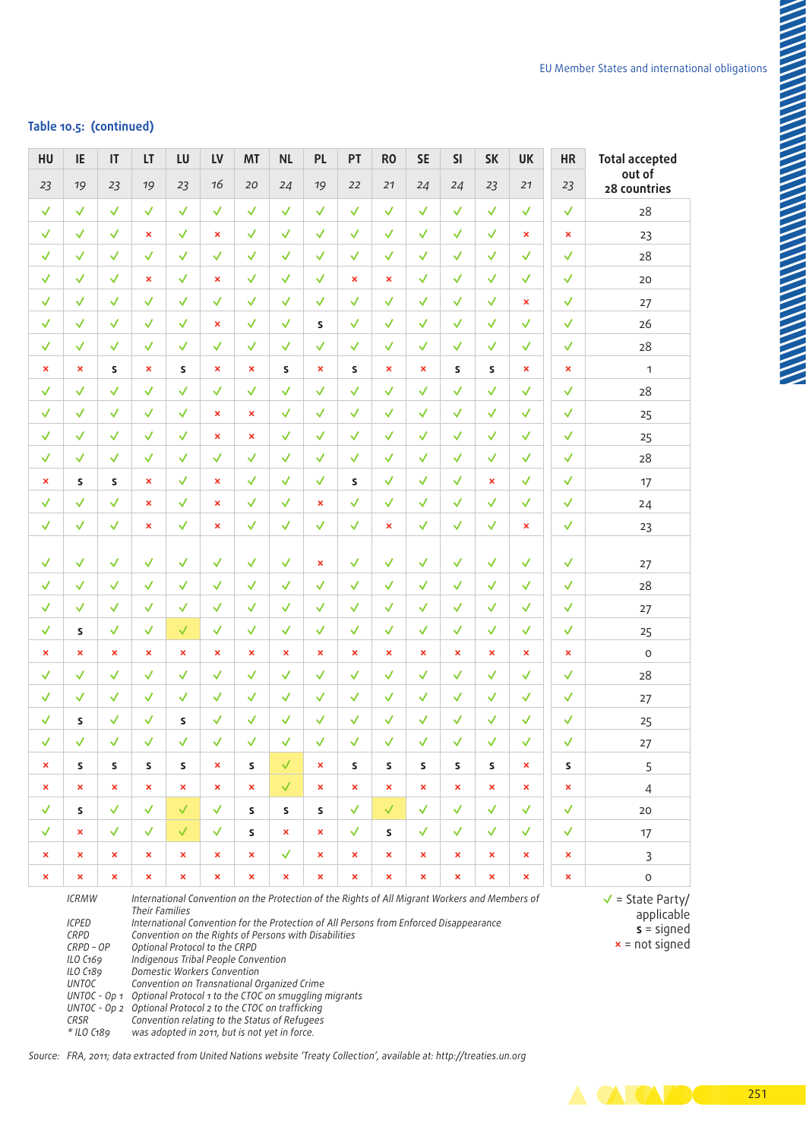### **Table 10.5: (continued)**

| <b>Total accepted</b>                                                        | HR             | UK                    | <b>SK</b>             | <b>SI</b>             | <b>SE</b>      | <b>RO</b>             | PT                   | <b>PL</b>                 | <b>NL</b>                                                                                                                                                                                                                                                                                                                                                                                                                                                                                                                               | <b>MT</b>                 | LV                    | LU                    |                                                                                                                       |                           | IE                                                                                                | HU                    |
|------------------------------------------------------------------------------|----------------|-----------------------|-----------------------|-----------------------|----------------|-----------------------|----------------------|---------------------------|-----------------------------------------------------------------------------------------------------------------------------------------------------------------------------------------------------------------------------------------------------------------------------------------------------------------------------------------------------------------------------------------------------------------------------------------------------------------------------------------------------------------------------------------|---------------------------|-----------------------|-----------------------|-----------------------------------------------------------------------------------------------------------------------|---------------------------|---------------------------------------------------------------------------------------------------|-----------------------|
| out of<br>28 countries                                                       | 23             | 21                    | 23                    | 24                    | 24             | 21                    | 22                   | 19                        | 24                                                                                                                                                                                                                                                                                                                                                                                                                                                                                                                                      | 20                        | 16                    | 23                    | 19                                                                                                                    | 23                        | 19                                                                                                | 23                    |
| 28                                                                           | $\checkmark$   | $\checkmark$          | ✓                     | $\checkmark$          | ✓              | $\checkmark$          | √                    | √                         | √                                                                                                                                                                                                                                                                                                                                                                                                                                                                                                                                       | √                         | ✓                     | √                     | √                                                                                                                     | √                         | √                                                                                                 | $\checkmark$          |
| 23                                                                           | $\pmb{\times}$ | $\mathbf{x}$          | $\checkmark$          | $\checkmark$          | √              | √                     | √                    | ✓                         | √                                                                                                                                                                                                                                                                                                                                                                                                                                                                                                                                       | $\checkmark$              | $\pmb{\times}$        | $\checkmark$          | $\pmb{\times}$                                                                                                        | $\checkmark$              | $\checkmark$                                                                                      | $\checkmark$          |
| 28                                                                           | $\checkmark$   | $\checkmark$          | ✓                     | $\checkmark$          | ✓              | √                     | $\checkmark$         | √                         | $\checkmark$                                                                                                                                                                                                                                                                                                                                                                                                                                                                                                                            | $\checkmark$              | $\checkmark$          | $\checkmark$          | √                                                                                                                     | √                         | √                                                                                                 | $\checkmark$          |
| 20                                                                           | $\checkmark$   | $\checkmark$          | $\checkmark$          | $\checkmark$          | $\checkmark$   | $\mathbf{x}$          | $\pmb{\times}$       | $\checkmark$              | √                                                                                                                                                                                                                                                                                                                                                                                                                                                                                                                                       | $\checkmark$              | $\boldsymbol{\times}$ | $\checkmark$          | $\pmb{\times}$                                                                                                        | $\checkmark$              | $\checkmark$                                                                                      | $\checkmark$          |
| $27$                                                                         | $\checkmark$   | $\mathbf{x}$          | ✓                     | $\checkmark$          | ✓              | $\checkmark$          | √                    | √                         | √                                                                                                                                                                                                                                                                                                                                                                                                                                                                                                                                       | √                         | ✓                     | $\checkmark$          | √                                                                                                                     | ✓                         | √                                                                                                 | $\checkmark$          |
| 26                                                                           | $\checkmark$   | $\checkmark$          | $\checkmark$          | $\checkmark$          | $\checkmark$   | $\checkmark$          | $\blacktriangledown$ | $\mathsf{s}$              | $\checkmark$                                                                                                                                                                                                                                                                                                                                                                                                                                                                                                                            | $\checkmark$              | $\pmb{\times}$        | ✓                     | $\checkmark$                                                                                                          | √                         | $\checkmark$                                                                                      | $\checkmark$          |
| 28                                                                           | $\checkmark$   | √                     | $\checkmark$          | $\checkmark$          | $\checkmark$   | $\checkmark$          | √                    | $\checkmark$              | $\checkmark$                                                                                                                                                                                                                                                                                                                                                                                                                                                                                                                            | √                         | $\checkmark$          | $\checkmark$          | √                                                                                                                     | √                         | √                                                                                                 | $\checkmark$          |
| $\mathbf{1}$                                                                 | $\pmb{\times}$ | $\mathbf{x}$          | S                     | $\mathsf{s}$          | $\pmb{\times}$ | $\pmb{\times}$        | S                    | $\boldsymbol{\mathsf{x}}$ | S.                                                                                                                                                                                                                                                                                                                                                                                                                                                                                                                                      | $\boldsymbol{\mathsf{x}}$ | $\pmb{\times}$        | S                     | $\pmb{\times}$                                                                                                        | S                         | $\mathbf x$                                                                                       | $\boldsymbol{\times}$ |
| 28                                                                           | $\checkmark$   | $\checkmark$          | $\checkmark$          | $\checkmark$          | ✓              | $\checkmark$          | √                    | √                         | $\checkmark$                                                                                                                                                                                                                                                                                                                                                                                                                                                                                                                            | √                         | ✓                     | $\checkmark$          | √                                                                                                                     | √                         | √                                                                                                 | $\checkmark$          |
| 25                                                                           | $\checkmark$   | $\checkmark$          | $\checkmark$          | $\checkmark$          | ✓              | √                     | $\checkmark$         | √                         | $\checkmark$                                                                                                                                                                                                                                                                                                                                                                                                                                                                                                                            | $\boldsymbol{\mathsf{x}}$ | $\pmb{\times}$        | ✓                     | √                                                                                                                     | √                         | $\checkmark$                                                                                      | $\checkmark$          |
| 25                                                                           | $\checkmark$   | $\checkmark$          | $\checkmark$          | $\checkmark$          | $\checkmark$   | √                     | $\checkmark$         | ✓                         | $\checkmark$                                                                                                                                                                                                                                                                                                                                                                                                                                                                                                                            | $\boldsymbol{\mathsf{x}}$ | $\pmb{\times}$        | $\checkmark$          | $\checkmark$                                                                                                          | √                         | $\checkmark$                                                                                      | $\checkmark$          |
| 28                                                                           | $\checkmark$   | $\checkmark$          | $\checkmark$          | $\checkmark$          | $\checkmark$   | $\checkmark$          | $\sqrt{}$            | √                         | $\checkmark$                                                                                                                                                                                                                                                                                                                                                                                                                                                                                                                            | $\checkmark$              | $\checkmark$          | $\checkmark$          | √                                                                                                                     | √                         | √                                                                                                 | $\checkmark$          |
| 17                                                                           | $\checkmark$   | $\checkmark$          | $\mathbf{x}$          | $\checkmark$          | $\checkmark$   | √                     | S                    | √                         | $\checkmark$                                                                                                                                                                                                                                                                                                                                                                                                                                                                                                                            | $\checkmark$              | $\pmb{\times}$        | $\checkmark$          | $\pmb{\times}$                                                                                                        | <b>S</b>                  | S.                                                                                                | $\boldsymbol{\times}$ |
| 24                                                                           | $\checkmark$   | $\checkmark$          | $\checkmark$          | $\checkmark$          | $\checkmark$   | $\checkmark$          | $\checkmark$         | $\boldsymbol{\mathsf{x}}$ | $\checkmark$                                                                                                                                                                                                                                                                                                                                                                                                                                                                                                                            | $\checkmark$              | $\pmb{\times}$        | $\checkmark$          | $\pmb{\times}$                                                                                                        | $\checkmark$              | $\checkmark$                                                                                      | $\checkmark$          |
| 23                                                                           | $\checkmark$   | $\mathbf{x}$          | √                     | $\checkmark$          | $\checkmark$   | $\mathbf{x}$          | √                    | √                         | $\checkmark$                                                                                                                                                                                                                                                                                                                                                                                                                                                                                                                            | $\checkmark$              | $\mathbf{x}$          | $\checkmark$          | $\mathbf x$                                                                                                           | $\checkmark$              | $\checkmark$                                                                                      | $\checkmark$          |
| $27$                                                                         | $\checkmark$   | $\checkmark$          | $\checkmark$          | $\checkmark$          | $\checkmark$   | $\checkmark$          | $\checkmark$         | $\mathbf{x}$              | $\checkmark$                                                                                                                                                                                                                                                                                                                                                                                                                                                                                                                            | $\checkmark$              | $\checkmark$          | $\checkmark$          | $\checkmark$                                                                                                          | $\checkmark$              | ✓                                                                                                 | $\checkmark$          |
| 28                                                                           | $\checkmark$   | $\checkmark$          | ✓                     | $\checkmark$          | ✓              | $\checkmark$          | √                    | √                         | √                                                                                                                                                                                                                                                                                                                                                                                                                                                                                                                                       | $\checkmark$              | $\checkmark$          | $\checkmark$          | √                                                                                                                     | ✓                         | √                                                                                                 | $\checkmark$          |
| $27$                                                                         | $\checkmark$   | $\checkmark$          | $\checkmark$          | $\checkmark$          | ✓              | √                     | $\blacktriangledown$ | ✓                         | $\checkmark$                                                                                                                                                                                                                                                                                                                                                                                                                                                                                                                            | $\checkmark$              | $\checkmark$          | ✓                     | √                                                                                                                     | √                         | $\checkmark$                                                                                      | $\checkmark$          |
| 25                                                                           | $\checkmark$   | $\checkmark$          | ✓                     | $\checkmark$          | $\checkmark$   | √                     | √                    | √                         | $\checkmark$                                                                                                                                                                                                                                                                                                                                                                                                                                                                                                                            | ✓                         | $\checkmark$          | $\checkmark$          | √                                                                                                                     | √                         | S.                                                                                                | $\checkmark$          |
|                                                                              | $\pmb{\times}$ | $\mathbf{x}$          | $\mathbf{x}$          | $\boldsymbol{\times}$ | $\pmb{\times}$ | $\mathbf{x}$          | $\pmb{\times}$       | $\boldsymbol{\mathsf{x}}$ | $\mathbf x$                                                                                                                                                                                                                                                                                                                                                                                                                                                                                                                             | $\boldsymbol{\mathsf{x}}$ | $\mathbf{x}$          | $\pmb{\times}$        | $\pmb{\times}$                                                                                                        | $\boldsymbol{\mathsf{x}}$ | $\mathbf x$                                                                                       | $\boldsymbol{\times}$ |
| 28                                                                           | $\checkmark$   | $\checkmark$          | ✓                     | $\checkmark$          | $\checkmark$   | $\checkmark$          | $\checkmark$         | √                         | √                                                                                                                                                                                                                                                                                                                                                                                                                                                                                                                                       | ✓                         | $\checkmark$          | $\checkmark$          | $\checkmark$                                                                                                          | √                         | $\checkmark$                                                                                      | $\checkmark$          |
| $27$                                                                         | $\checkmark$   | $\checkmark$          | $\checkmark$          | $\checkmark$          | $\checkmark$   | $\checkmark$          | $\checkmark$         | √                         | $\checkmark$                                                                                                                                                                                                                                                                                                                                                                                                                                                                                                                            | $\checkmark$              | $\checkmark$          | $\checkmark$          | √                                                                                                                     | √                         | $\checkmark$                                                                                      | $\checkmark$          |
| 25                                                                           | $\checkmark$   | $\checkmark$          | $\checkmark$          | $\checkmark$          | $\checkmark$   | √                     | √                    | √                         | $\checkmark$                                                                                                                                                                                                                                                                                                                                                                                                                                                                                                                            | $\checkmark$              | $\checkmark$          | S                     | √                                                                                                                     | √                         | S.                                                                                                | $\checkmark$          |
| 27                                                                           | $\checkmark$   | $\checkmark$          | $\checkmark$          | $\checkmark$          | $\checkmark$   | $\checkmark$          | $\checkmark$         | ✓                         | $\checkmark$                                                                                                                                                                                                                                                                                                                                                                                                                                                                                                                            | $\checkmark$              | $\checkmark$          | ✓                     | $\checkmark$                                                                                                          | √                         | $\checkmark$                                                                                      | $\checkmark$          |
| 5                                                                            | S              | $\mathbf{x}$          | $\mathsf{s}$          | $\mathsf{s}$          | S.             | S.                    | S.                   | $\mathbf{x}$              |                                                                                                                                                                                                                                                                                                                                                                                                                                                                                                                                         | S.                        | $\mathbf{x}$          | $\mathsf{s}$          | S.                                                                                                                    | S.                        | S.                                                                                                | $\mathbf x$           |
| $\overline{4}$                                                               | $\pmb{\times}$ | $\propto$             | $\pmb{\times}$        | $\propto$             | $\mathbf{x}$   | $\pmb{\times}$        | $\pmb{\times}$       | $\propto$                 | $\checkmark$                                                                                                                                                                                                                                                                                                                                                                                                                                                                                                                            | $\mathbf{x}$              | $\mathbf{x}$          | $\pmb{\times}$        | $\pmb{\times}$                                                                                                        | $\boldsymbol{\times}$     | $\pmb{\times}$                                                                                    | $\mathbf{x}$          |
| 20                                                                           | $\checkmark$   | $\checkmark$          | $\checkmark$          | $\checkmark$          | $\checkmark$   | $\checkmark$          | $\checkmark$         | S                         | $\mathsf{s}$                                                                                                                                                                                                                                                                                                                                                                                                                                                                                                                            | S                         | $\checkmark$          | $\checkmark$          | $\checkmark$                                                                                                          | $\checkmark$              | S.                                                                                                | $\checkmark$          |
| 17                                                                           | $\checkmark$   | $\checkmark$          | $\checkmark$          | $\checkmark$          | $\checkmark$   | $\mathsf{s}$          | $\checkmark$         | $\pmb{\times}$            | $\pmb{\times}$                                                                                                                                                                                                                                                                                                                                                                                                                                                                                                                          | S                         | $\checkmark$          | $\checkmark$          | $\checkmark$                                                                                                          | $\checkmark$              | $\pmb{\times}$                                                                                    | $\checkmark$          |
| $\overline{3}$                                                               | $\mathbf{x}$   | $\boldsymbol{\times}$ | $\boldsymbol{\times}$ | $\pmb{\times}$        | $\mathbf{x}$   | $\boldsymbol{\times}$ | $\pmb{\times}$       | $\pmb{\times}$            | $\checkmark$                                                                                                                                                                                                                                                                                                                                                                                                                                                                                                                            | $\boldsymbol{\times}$     | $\boldsymbol{\times}$ | $\boldsymbol{\times}$ | $\mathbf x$                                                                                                           | $\mathbf x$               | $\pmb{\times}$                                                                                    | $\mathbf x$           |
|                                                                              | $\pmb{\times}$ | $\mathbf{x}$          | $\pmb{\times}$        | $\pmb{\times}$        | $\pmb{\times}$ | $\pmb{\times}$        | $\pmb{\times}$       | $\boldsymbol{\times}$     | $\pmb{\times}$                                                                                                                                                                                                                                                                                                                                                                                                                                                                                                                          | $\boldsymbol{\times}$     | $\boldsymbol{\times}$ | $\pmb{\times}$        | $\pmb{\times}$                                                                                                        | $\mathbf{x}$              | $\pmb{\times}$                                                                                    | $\mathbf{x}$          |
| $\checkmark$ = State Party<br>applicable<br>$s =$ signed<br>$x = not$ signed |                |                       |                       |                       |                |                       |                      |                           | International Convention on the Protection of the Rights of All Migrant Workers and Members of<br>International Convention for the Protection of All Persons from Enforced Disappearance<br>Convention on the Rights of Persons with Disabilities<br>Convention on Transnational Organized Crime<br>UNTOC - Op 1 Optional Protocol 1 to the CTOC on smuggling migrants<br>UNTOC - Op 2 Optional Protocol 2 to the CTOC on trafficking<br>Convention relating to the Status of Refugees<br>was adopted in 2011, but is not yet in force. |                           |                       |                       | Their Families<br>Optional Protocol to the CRPD<br>Indigenous Tribal People Convention<br>Domestic Workers Convention |                           | ICRMW<br>ICPED<br>CRPD<br>CRPD - OP<br>ILO C169<br>ILO C189<br><b>UNTOC</b><br>CRSR<br>* ILO C189 |                       |

*Source: FRA, 2011; data extracted from United Nations website 'Treaty Collection', available at:<http://treaties.un.org>*

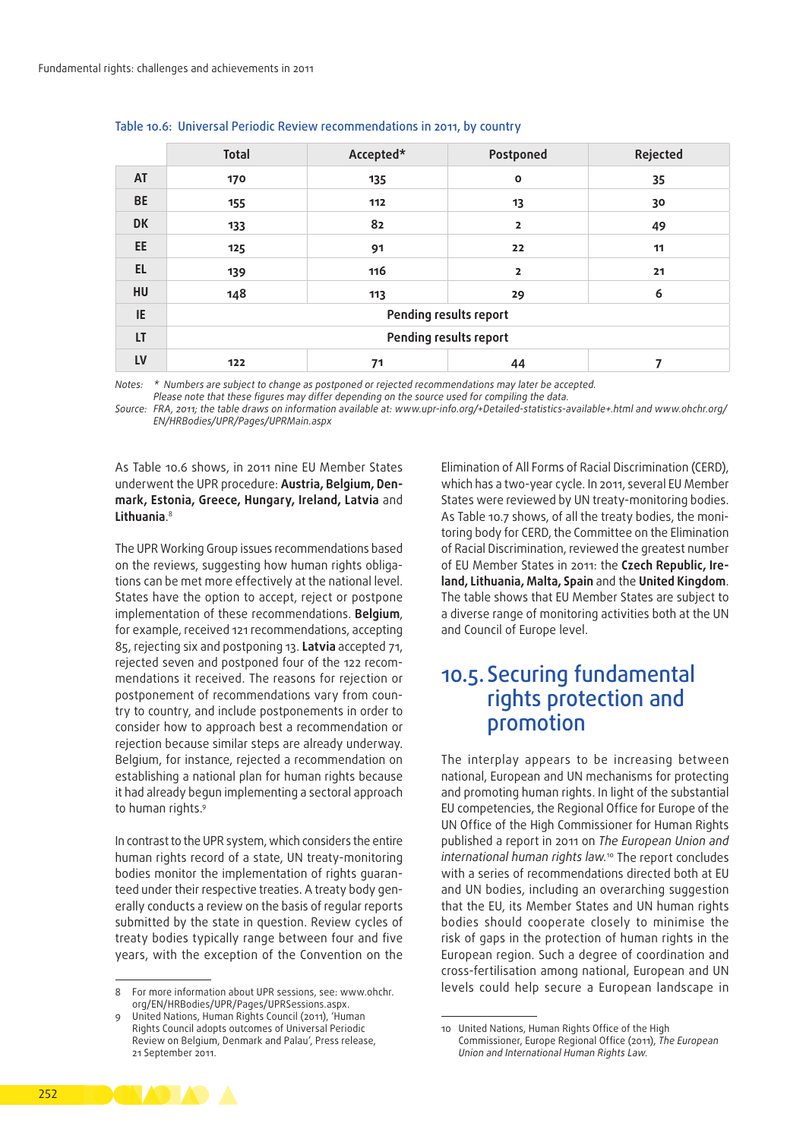|           | <b>Total</b> | Accepted*              | Postponed              | Rejected |  |  |  |  |  |  |  |
|-----------|--------------|------------------------|------------------------|----------|--|--|--|--|--|--|--|
| AT        | 170          | 135                    | $\mathbf{o}$           | 35       |  |  |  |  |  |  |  |
| <b>BE</b> | 155          | 112                    | 13                     | 30       |  |  |  |  |  |  |  |
| <b>DK</b> | 133          | 82                     | $\overline{2}$         | 49       |  |  |  |  |  |  |  |
| EE        | 125          | 91<br>22               |                        |          |  |  |  |  |  |  |  |
| <b>EL</b> | 139          | 116                    | $\overline{2}$         | 21       |  |  |  |  |  |  |  |
| HU        | 148          | 113                    | 29                     | 6        |  |  |  |  |  |  |  |
| IE        |              | Pending results report |                        |          |  |  |  |  |  |  |  |
| LT        |              |                        | Pending results report |          |  |  |  |  |  |  |  |
| LV        | 122          | 44<br>71               |                        |          |  |  |  |  |  |  |  |

#### Table 10.6: Universal Periodic Review recommendations in 2011, by country

*Notes: \* Numbers are subject to change as postponed or rejected recommendations may later be accepted.* 

*Please note that these figures may differ depending on the source used for compiling the data.*

Source: FRA, 2011; the table draws on information available at: [www.upr-info.org/+Detailed-statistics-available+.html](http://www.upr<2011>info.org/+Detailed<2011>statistics<2011>available+.html) and [www.ohchr.org/](http://www.ohchr.org/EN/HRBodies/UPR/Pages/UPRMain.aspx) *[EN/HRBodies/UPR/Pages/UPRMain.aspx](http://www.ohchr.org/EN/HRBodies/UPR/Pages/UPRMain.aspx)*

As Table 10.6 shows, in 2011 nine EU Member States underwent the UPR procedure: **Austria, Belgium, Den‑ mark, Estonia, Greece, Hungary, Ireland, Latvia** and **Lithuania**. 8

The UPR Working Group issues recommendations based on the reviews, suggesting how human rights obligations can be met more effectively at the national level. States have the option to accept, reject or postpone implementation of these recommendations. **Belgium**, for example, received 121 recommendations, accepting 85, rejecting six and postponing 13. **Latvia** accepted 71, rejected seven and postponed four of the 122 recommendations it received. The reasons for rejection or postponement of recommendations vary from country to country, and include postponements in order to consider how to approach best a recommendation or rejection because similar steps are already underway. Belgium, for instance, rejected a recommendation on establishing a national plan for human rights because it had already begun implementing a sectoral approach to human rights.<sup>9</sup>

In contrast to the UPR system, which considers the entire human rights record of a state, UN treaty‑monitoring bodies monitor the implementation of rights guaranteed under their respective treaties. A treaty body generally conducts a review on the basis of regular reports submitted by the state in question. Review cycles of treaty bodies typically range between four and five years, with the exception of the Convention on the Elimination of All Forms of Racial Discrimination (CERD), which has a two‑year cycle. In 2011, several EU Member States were reviewed by UN treaty‑monitoring bodies. As Table 10.7 shows, of all the treaty bodies, the monitoring body for CERD, the Committee on the Elimination of Racial Discrimination, reviewed the greatest number of EU Member States in 2011: the **Czech Republic, Ire‑ land, Lithuania, Malta, Spain** and the **United Kingdom**. The table shows that EU Member States are subject to a diverse range of monitoring activities both at the UN and Council of Europe level.

### 10.5. Securing fundamental rights protection and promotion

The interplay appears to be increasing between national, European and UN mechanisms for protecting and promoting human rights. In light of the substantial EU competencies, the Regional Office for Europe of the UN Office of the High Commissioner for Human Rights published a report in 2011 on *The European Union and international human rights law.*10 The report concludes with a series of recommendations directed both at EU and UN bodies, including an overarching suggestion that the EU, its Member States and UN human rights bodies should cooperate closely to minimise the risk of gaps in the protection of human rights in the European region. Such a degree of coordination and cross‑fertilisation among national, European and UN levels could help secure a European landscape in



<sup>8</sup> For more information about UPR sessions, see: [www.ohchr.](http://www.ohchr.org/EN/HRBodies/UPR/Pages/UPRSessions.aspx) [org/EN/HRBodies/UPR/Pages/UPRSessions.aspx.](http://www.ohchr.org/EN/HRBodies/UPR/Pages/UPRSessions.aspx)

<sup>9</sup> United Nations, Human Rights Council (2011), 'Human Rights Council adopts outcomes of Universal Periodic Review on Belgium, Denmark and Palau', Press release, 21 September 2011[.](http://www.ohchr.org/en/NewsEvents/Pages/DisplayNews.aspx?NewsID=11406&LangID=E.)

<sup>10</sup> United Nations, Human Rights Office of the High Commissioner, Europe Regional Office (2011), *The European Union and International Human Rights Law*.